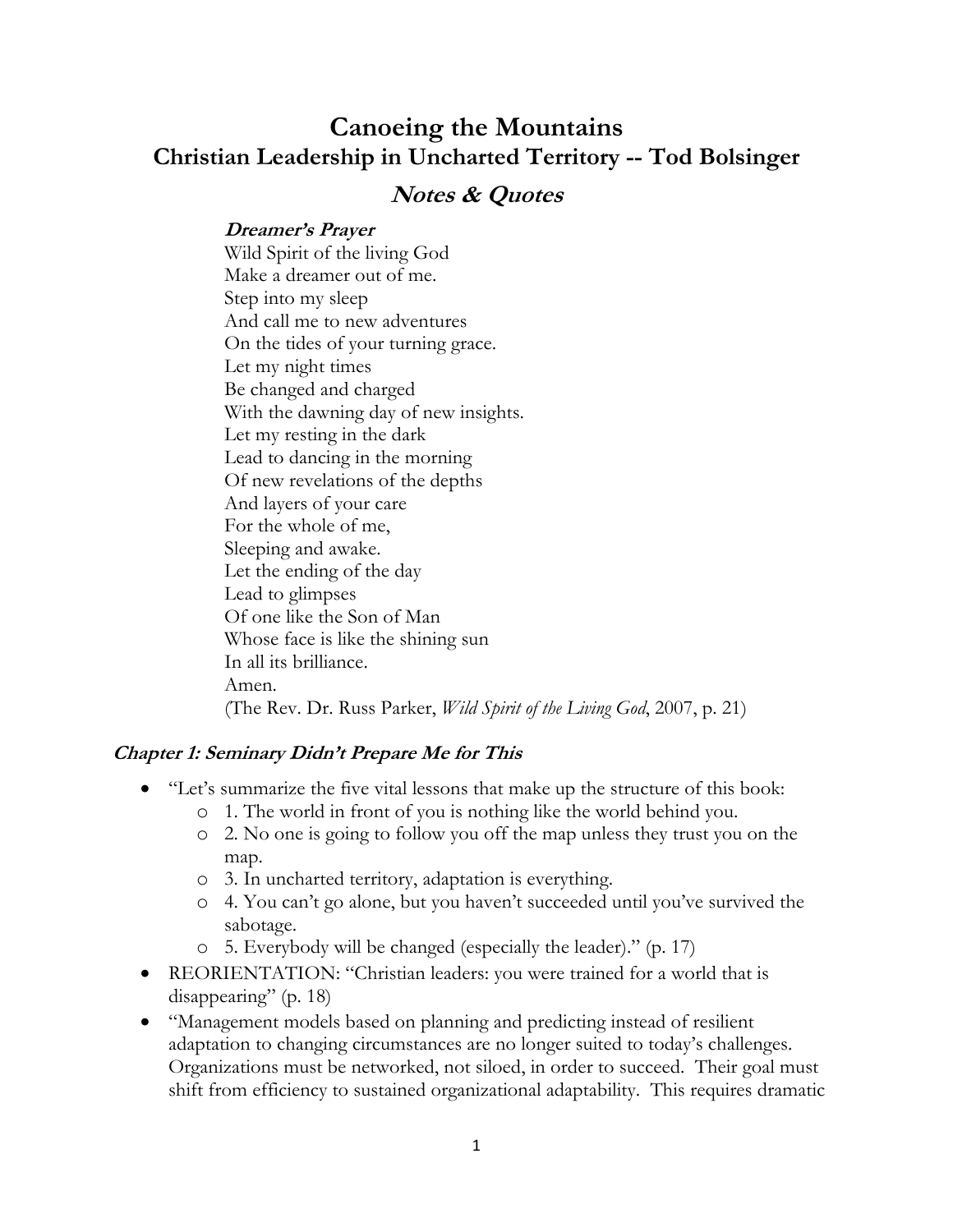# **Canoeing the Mountains Christian Leadership in Uncharted Territory -- Tod Bolsinger**

# **Notes & Quotes**

## **Dreamer's Prayer**

Wild Spirit of the living God Make a dreamer out of me. Step into my sleep And call me to new adventures On the tides of your turning grace. Let my night times Be changed and charged With the dawning day of new insights. Let my resting in the dark Lead to dancing in the morning Of new revelations of the depths And layers of your care For the whole of me, Sleeping and awake. Let the ending of the day Lead to glimpses Of one like the Son of Man Whose face is like the shining sun In all its brilliance. Amen. (The Rev. Dr. Russ Parker, *Wild Spirit of the Living God*, 2007, p. 21)

## **Chapter 1: Seminary Didn't Prepare Me for This**

- "Let's summarize the five vital lessons that make up the structure of this book:
	- o 1. The world in front of you is nothing like the world behind you.
	- o 2. No one is going to follow you off the map unless they trust you on the map.
	- o 3. In uncharted territory, adaptation is everything.
	- o 4. You can't go alone, but you haven't succeeded until you've survived the sabotage.
	- o 5. Everybody will be changed (especially the leader)." (p. 17)
- REORIENTATION: "Christian leaders: you were trained for a world that is disappearing" (p. 18)
- "Management models based on planning and predicting instead of resilient adaptation to changing circumstances are no longer suited to today's challenges. Organizations must be networked, not siloed, in order to succeed. Their goal must shift from efficiency to sustained organizational adaptability. This requires dramatic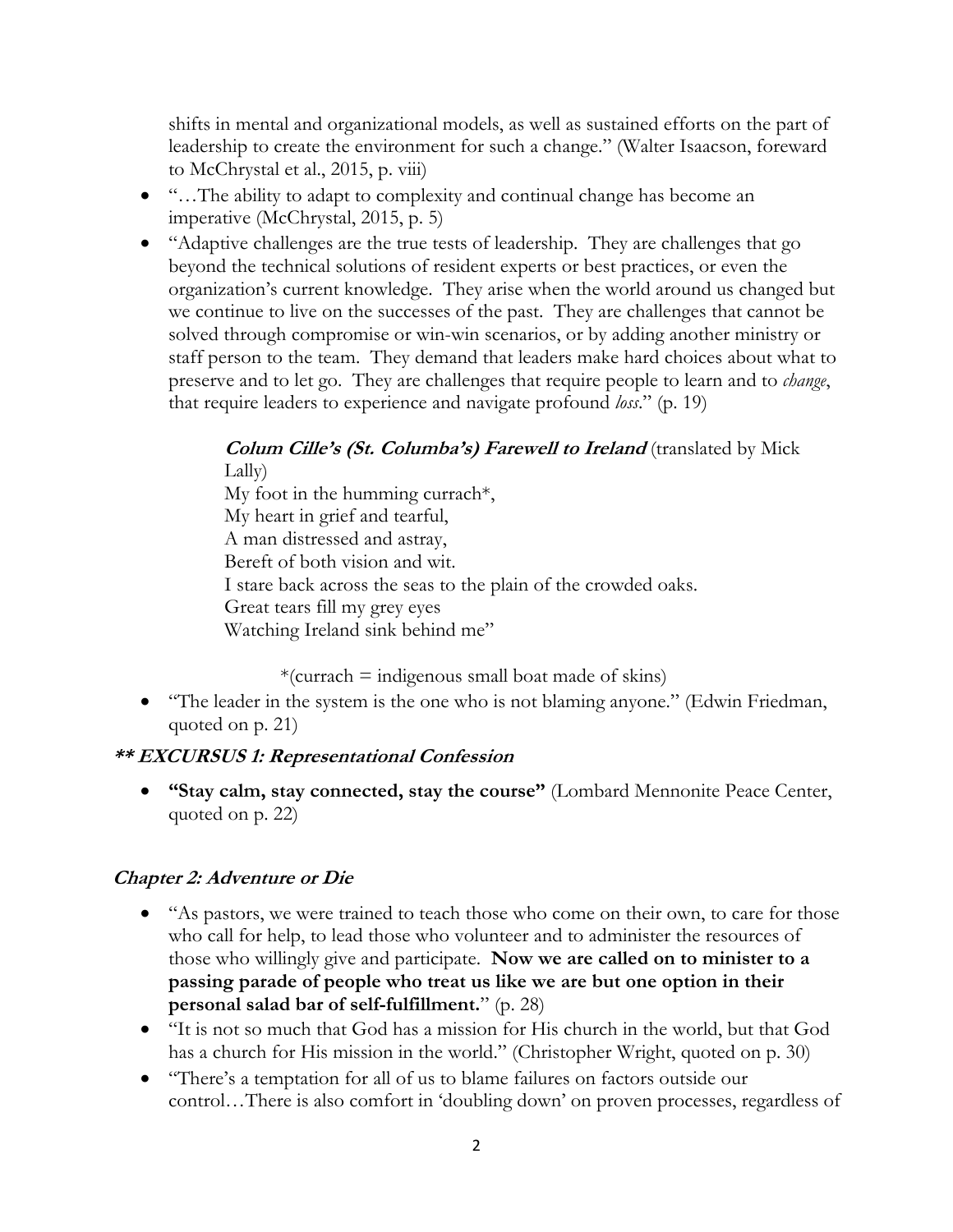shifts in mental and organizational models, as well as sustained efforts on the part of leadership to create the environment for such a change." (Walter Isaacson, foreward to McChrystal et al., 2015, p. viii)

- "…The ability to adapt to complexity and continual change has become an imperative (McChrystal, 2015, p. 5)
- "Adaptive challenges are the true tests of leadership. They are challenges that go beyond the technical solutions of resident experts or best practices, or even the organization's current knowledge. They arise when the world around us changed but we continue to live on the successes of the past. They are challenges that cannot be solved through compromise or win-win scenarios, or by adding another ministry or staff person to the team. They demand that leaders make hard choices about what to preserve and to let go. They are challenges that require people to learn and to *change*, that require leaders to experience and navigate profound *loss*." (p. 19)

#### **Colum Cille's (St. Columba's) Farewell to Ireland** (translated by Mick Lally)

My foot in the humming currach\*, My heart in grief and tearful, A man distressed and astray, Bereft of both vision and wit. I stare back across the seas to the plain of the crowded oaks. Great tears fill my grey eyes Watching Ireland sink behind me"

## $*(\text{current} = \text{indigenous small boat made of skins})$

• "The leader in the system is the one who is not blaming anyone." (Edwin Friedman, quoted on p. 21)

# **\*\* EXCURSUS 1: Representational Confession**

• **"Stay calm, stay connected, stay the course"** (Lombard Mennonite Peace Center, quoted on p. 22)

# **Chapter 2: Adventure or Die**

- "As pastors, we were trained to teach those who come on their own, to care for those who call for help, to lead those who volunteer and to administer the resources of those who willingly give and participate. **Now we are called on to minister to a passing parade of people who treat us like we are but one option in their personal salad bar of self-fulfillment.**" (p. 28)
- "It is not so much that God has a mission for His church in the world, but that God has a church for His mission in the world." (Christopher Wright, quoted on p. 30)
- "There's a temptation for all of us to blame failures on factors outside our control…There is also comfort in 'doubling down' on proven processes, regardless of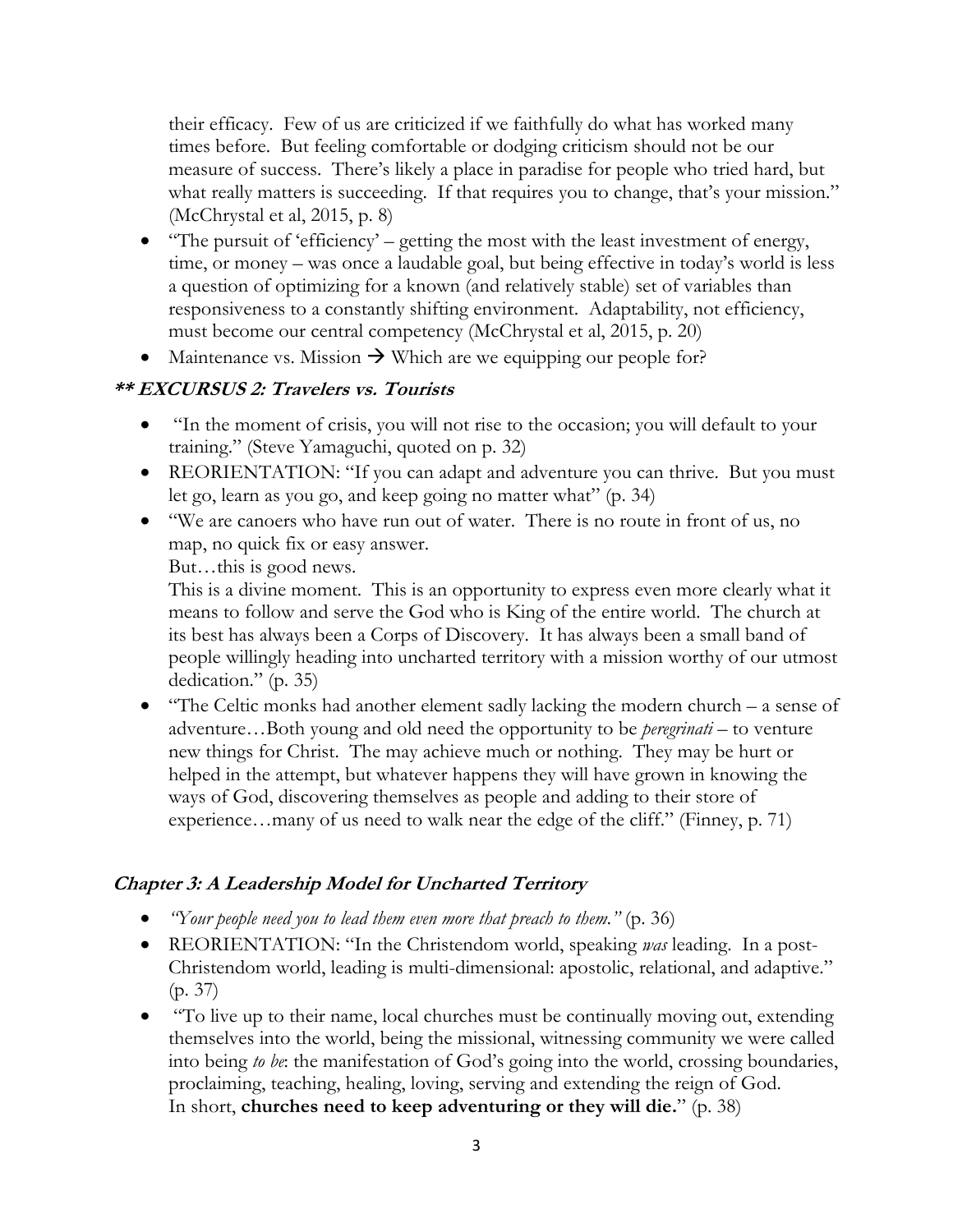their efficacy. Few of us are criticized if we faithfully do what has worked many times before. But feeling comfortable or dodging criticism should not be our measure of success. There's likely a place in paradise for people who tried hard, but what really matters is succeeding. If that requires you to change, that's your mission." (McChrystal et al, 2015, p. 8)

- "The pursuit of 'efficiency' getting the most with the least investment of energy, time, or money – was once a laudable goal, but being effective in today's world is less a question of optimizing for a known (and relatively stable) set of variables than responsiveness to a constantly shifting environment. Adaptability, not efficiency, must become our central competency (McChrystal et al, 2015, p. 20)
- Maintenance vs. Mission  $\rightarrow$  Which are we equipping our people for?

# **\*\* EXCURSUS 2: Travelers vs. Tourists**

- "In the moment of crisis, you will not rise to the occasion; you will default to your training." (Steve Yamaguchi, quoted on p. 32)
- REORIENTATION: "If you can adapt and adventure you can thrive. But you must let go, learn as you go, and keep going no matter what" (p. 34)
- "We are canoers who have run out of water. There is no route in front of us, no map, no quick fix or easy answer.

But…this is good news.

This is a divine moment. This is an opportunity to express even more clearly what it means to follow and serve the God who is King of the entire world. The church at its best has always been a Corps of Discovery. It has always been a small band of people willingly heading into uncharted territory with a mission worthy of our utmost dedication." (p. 35)

• "The Celtic monks had another element sadly lacking the modern church – a sense of adventure…Both young and old need the opportunity to be *peregrinati* – to venture new things for Christ. The may achieve much or nothing. They may be hurt or helped in the attempt, but whatever happens they will have grown in knowing the ways of God, discovering themselves as people and adding to their store of experience…many of us need to walk near the edge of the cliff." (Finney, p. 71)

# **Chapter 3: A Leadership Model for Uncharted Territory**

- *"Your people need you to lead them even more that preach to them."* (p. 36)
- REORIENTATION: "In the Christendom world, speaking *was* leading. In a post-Christendom world, leading is multi-dimensional: apostolic, relational, and adaptive." (p. 37)
- "To live up to their name, local churches must be continually moving out, extending themselves into the world, being the missional, witnessing community we were called into being *to be*: the manifestation of God's going into the world, crossing boundaries, proclaiming, teaching, healing, loving, serving and extending the reign of God. In short, **churches need to keep adventuring or they will die.**" (p. 38)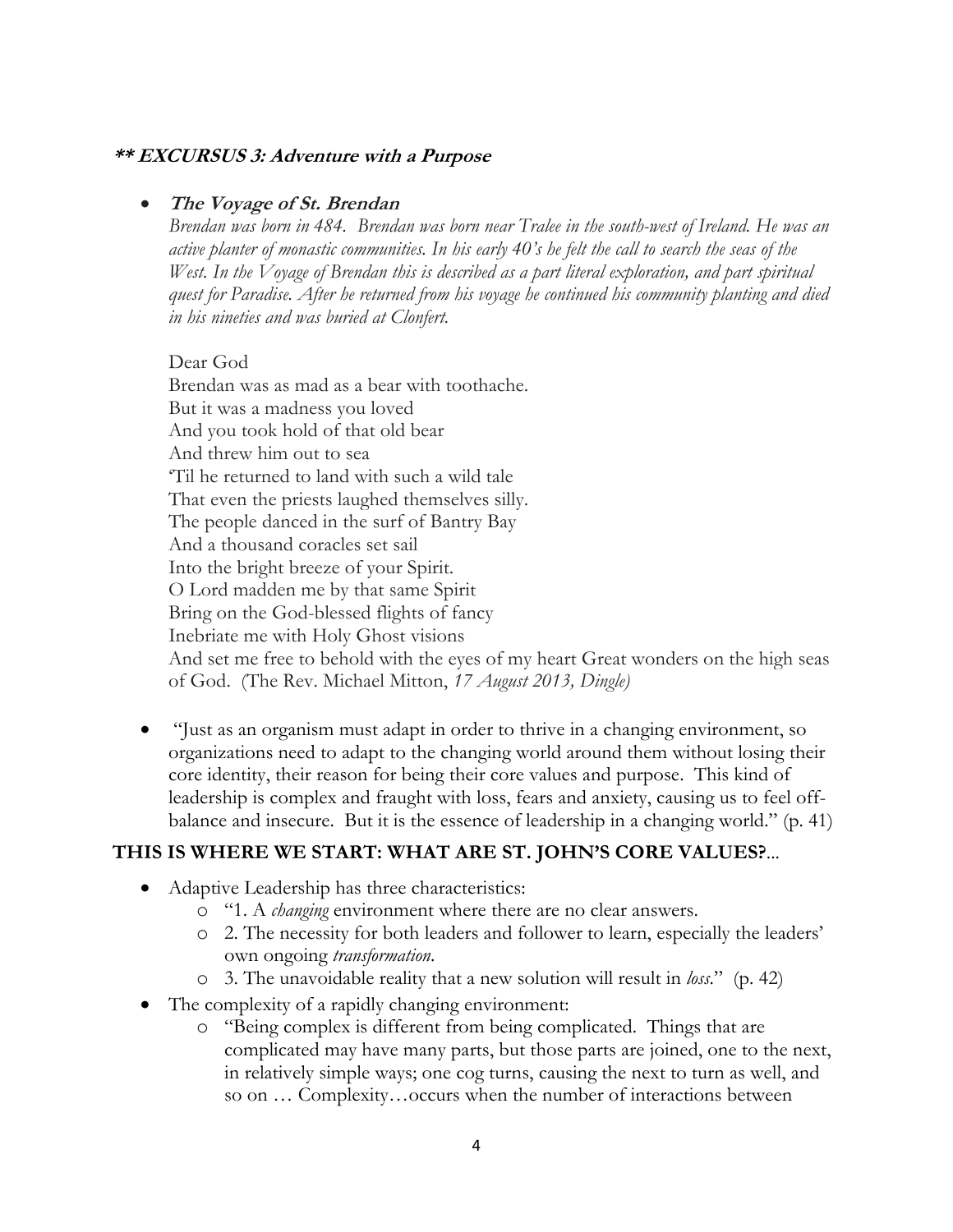#### **\*\* EXCURSUS 3: Adventure with a Purpose**

#### • **The Voyage of St. Brendan**

*Brendan was born in 484. Brendan was born near Tralee in the south-west of Ireland. He was an active planter of monastic communities. In his early 40's he felt the call to search the seas of the West. In the Voyage of Brendan this is described as a part literal exploration, and part spiritual quest for Paradise. After he returned from his voyage he continued his community planting and died in his nineties and was buried at Clonfert.*

Dear God Brendan was as mad as a bear with toothache. But it was a madness you loved And you took hold of that old bear And threw him out to sea 'Til he returned to land with such a wild tale That even the priests laughed themselves silly. The people danced in the surf of Bantry Bay And a thousand coracles set sail Into the bright breeze of your Spirit. O Lord madden me by that same Spirit Bring on the God-blessed flights of fancy Inebriate me with Holy Ghost visions And set me free to behold with the eyes of my heart Great wonders on the high seas of God. (The Rev. Michael Mitton, *17 August 2013, Dingle)*

• "Just as an organism must adapt in order to thrive in a changing environment, so organizations need to adapt to the changing world around them without losing their core identity, their reason for being their core values and purpose. This kind of leadership is complex and fraught with loss, fears and anxiety, causing us to feel offbalance and insecure. But it is the essence of leadership in a changing world." (p. 41)

#### **THIS IS WHERE WE START: WHAT ARE ST. JOHN'S CORE VALUES?**...

- Adaptive Leadership has three characteristics:
	- o "1. A *changing* environment where there are no clear answers.
	- o 2. The necessity for both leaders and follower to learn, especially the leaders' own ongoing *transformation*.
	- o 3. The unavoidable reality that a new solution will result in *loss*." (p. 42)
- The complexity of a rapidly changing environment:
	- o "Being complex is different from being complicated. Things that are complicated may have many parts, but those parts are joined, one to the next, in relatively simple ways; one cog turns, causing the next to turn as well, and so on … Complexity…occurs when the number of interactions between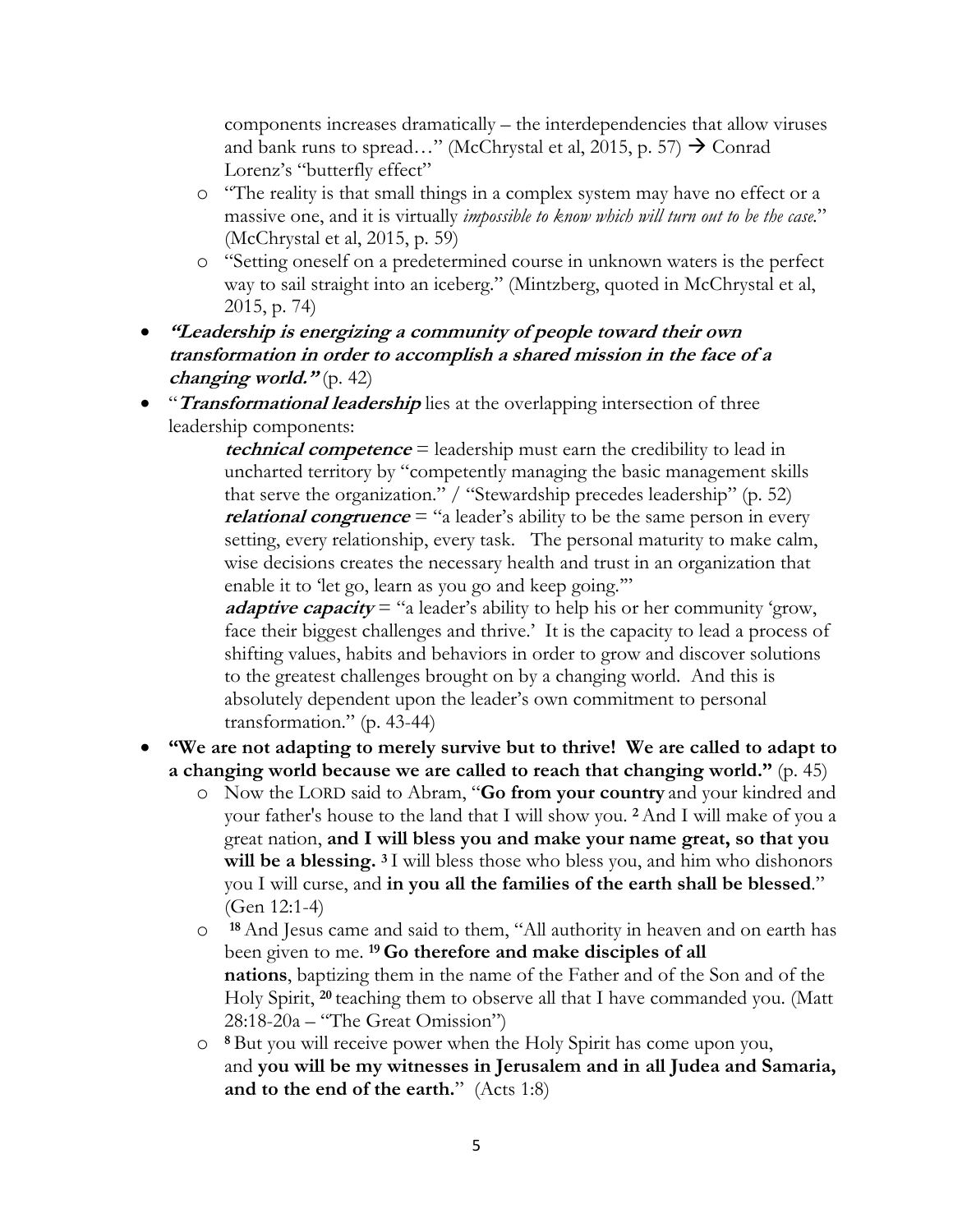components increases dramatically – the interdependencies that allow viruses and bank runs to spread..." (McChrystal et al, 2015, p. 57)  $\rightarrow$  Conrad Lorenz's "butterfly effect"

- o "The reality is that small things in a complex system may have no effect or a massive one, and it is virtually *impossible to know which will turn out to be the case.*" (McChrystal et al, 2015, p. 59)
- o "Setting oneself on a predetermined course in unknown waters is the perfect way to sail straight into an iceberg." (Mintzberg, quoted in McChrystal et al, 2015, p. 74)
- **"Leadership is energizing a community of people toward their own transformation in order to accomplish a shared mission in the face of a changing world."** (p. 42)
- "**Transformational leadership** lies at the overlapping intersection of three leadership components:

**technical competence** = leadership must earn the credibility to lead in uncharted territory by "competently managing the basic management skills that serve the organization." / "Stewardship precedes leadership" (p. 52) *relational congruence* = "a leader's ability to be the same person in every setting, every relationship, every task. The personal maturity to make calm, wise decisions creates the necessary health and trust in an organization that enable it to 'let go, learn as you go and keep going."

**adaptive capacity** = "a leader's ability to help his or her community 'grow, face their biggest challenges and thrive.' It is the capacity to lead a process of shifting values, habits and behaviors in order to grow and discover solutions to the greatest challenges brought on by a changing world. And this is absolutely dependent upon the leader's own commitment to personal transformation." (p. 43-44)

- **"We are not adapting to merely survive but to thrive! We are called to adapt to a changing world because we are called to reach that changing world."** (p. 45)
	- o Now the LORD said to Abram, "**Go from your country** and your kindred and your father's house to the land that I will show you. **<sup>2</sup>**And I will make of you a great nation, **and I will bless you and make your name great, so that you will be a blessing. <sup>3</sup>** I will bless those who bless you, and him who dishonors you I will curse, and **in you all the families of the earth shall be blessed**." (Gen 12:1-4)
	- o **<sup>18</sup>**And Jesus came and said to them, "All authority in heaven and on earth has been given to me. **<sup>19</sup> Go therefore and make disciples of all nations**, baptizing them in the name of the Father and of the Son and of the Holy Spirit, **<sup>20</sup>** teaching them to observe all that I have commanded you. (Matt 28:18-20a – "The Great Omission")
	- o **<sup>8</sup>** But you will receive power when the Holy Spirit has come upon you, and **you will be my witnesses in Jerusalem and in all Judea and Samaria, and to the end of the earth.**" (Acts 1:8)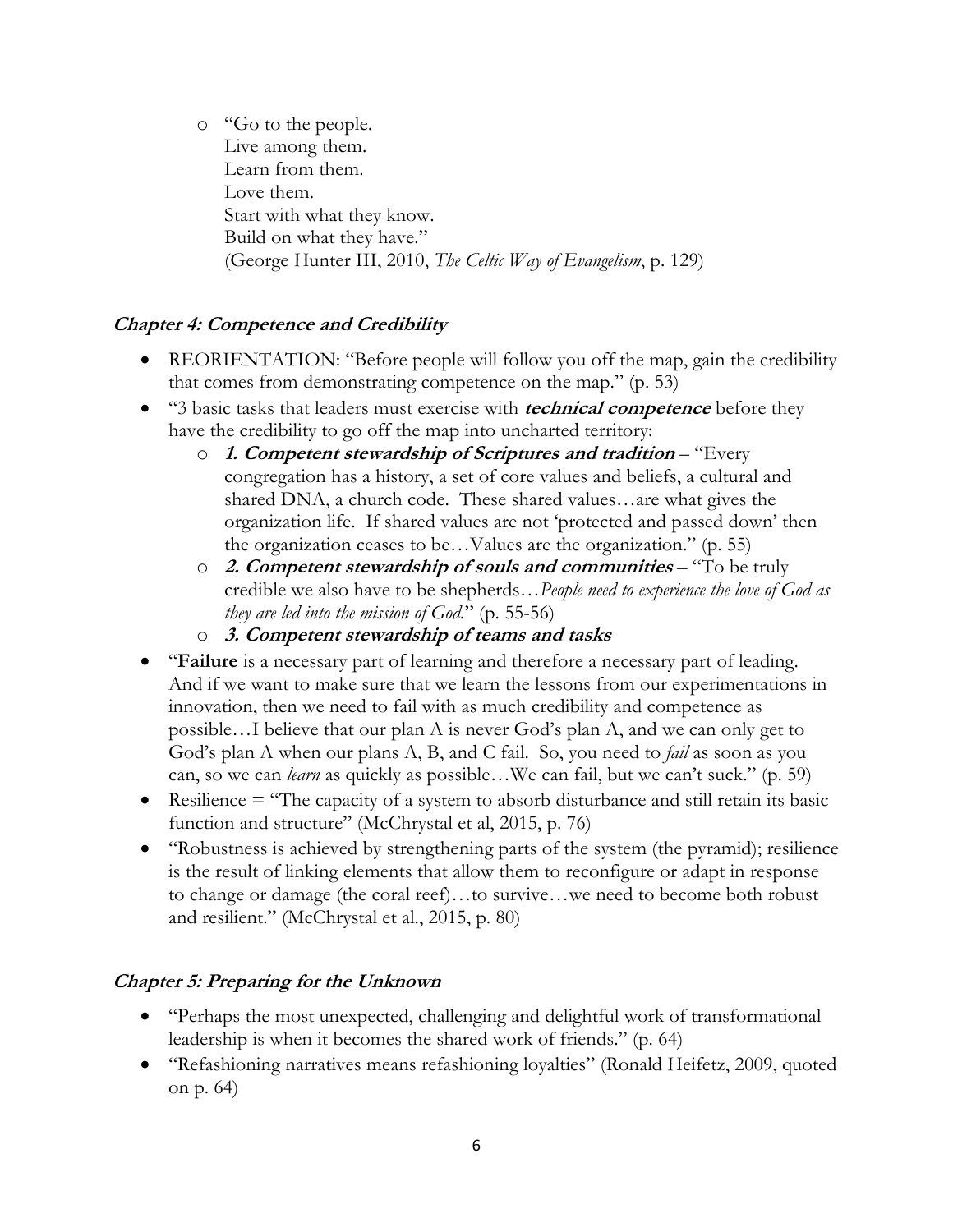o "Go to the people. Live among them. Learn from them. Love them. Start with what they know. Build on what they have." (George Hunter III, 2010, *The Celtic Way of Evangelism*, p. 129)

# **Chapter 4: Competence and Credibility**

- REORIENTATION: "Before people will follow you off the map, gain the credibility that comes from demonstrating competence on the map." (p. 53)
- "3 basic tasks that leaders must exercise with **technical competence** before they have the credibility to go off the map into uncharted territory:
	- o **1. Competent stewardship of Scriptures and tradition** "Every congregation has a history, a set of core values and beliefs, a cultural and shared DNA, a church code. These shared values…are what gives the organization life. If shared values are not 'protected and passed down' then the organization ceases to be…Values are the organization." (p. 55)
	- o **2. Competent stewardship of souls and communities** "To be truly credible we also have to be shepherds…*People need to experience the love of God as they are led into the mission of God.*" (p. 55-56)
	- o **3. Competent stewardship of teams and tasks**
- "**Failure** is a necessary part of learning and therefore a necessary part of leading. And if we want to make sure that we learn the lessons from our experimentations in innovation, then we need to fail with as much credibility and competence as possible…I believe that our plan A is never God's plan A, and we can only get to God's plan A when our plans A, B, and C fail. So, you need to *fail* as soon as you can, so we can *learn* as quickly as possible…We can fail, but we can't suck." (p. 59)
- Resilience  $=$  "The capacity of a system to absorb disturbance and still retain its basic function and structure" (McChrystal et al, 2015, p. 76)
- "Robustness is achieved by strengthening parts of the system (the pyramid); resilience is the result of linking elements that allow them to reconfigure or adapt in response to change or damage (the coral reef)…to survive…we need to become both robust and resilient." (McChrystal et al., 2015, p. 80)

# **Chapter 5: Preparing for the Unknown**

- "Perhaps the most unexpected, challenging and delightful work of transformational leadership is when it becomes the shared work of friends." (p. 64)
- "Refashioning narratives means refashioning loyalties" (Ronald Heifetz, 2009, quoted on p. 64)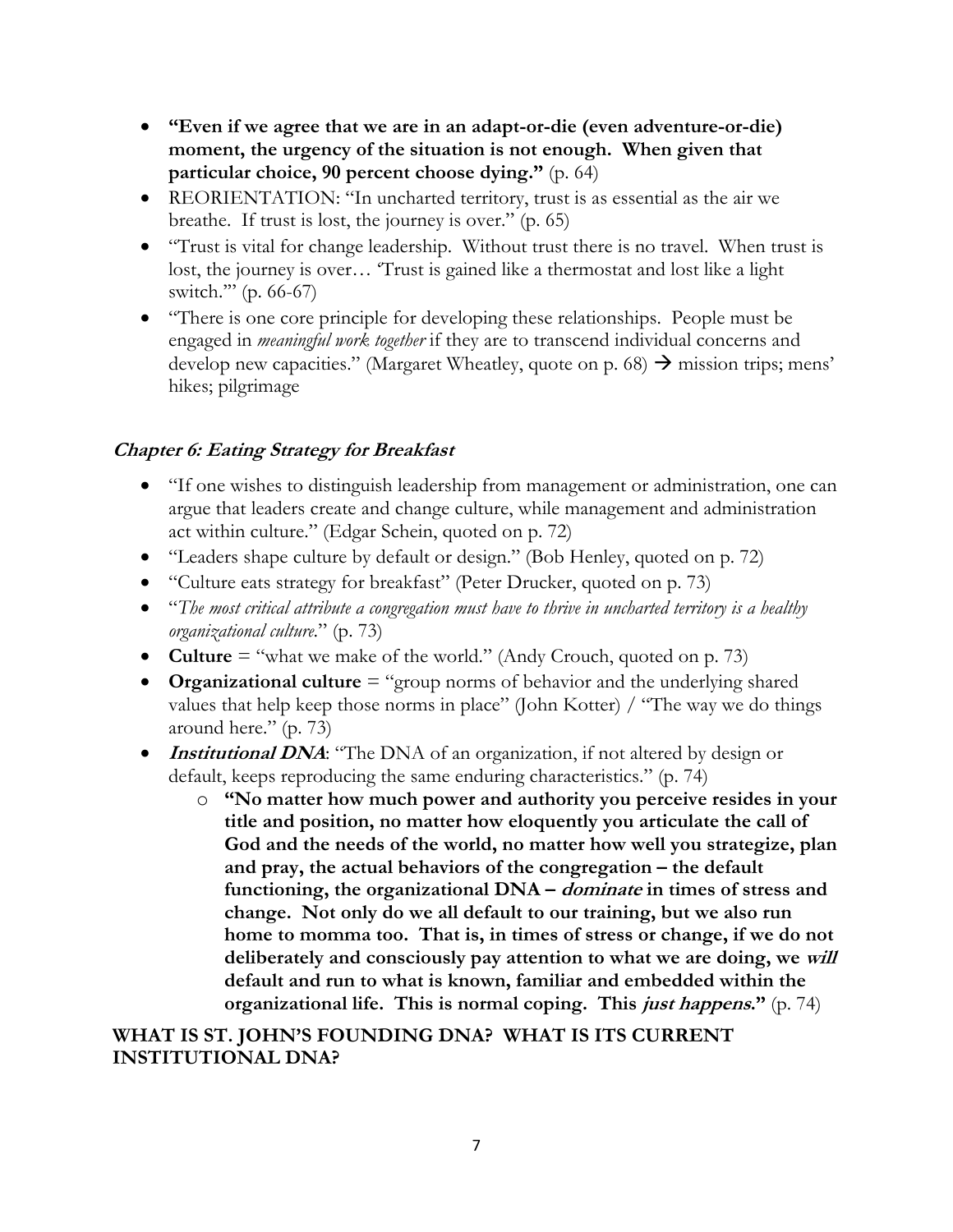- **"Even if we agree that we are in an adapt-or-die (even adventure-or-die) moment, the urgency of the situation is not enough. When given that particular choice, 90 percent choose dying."** (p. 64)
- REORIENTATION: "In uncharted territory, trust is as essential as the air we breathe. If trust is lost, the journey is over." (p. 65)
- "Trust is vital for change leadership. Without trust there is no travel. When trust is lost, the journey is over… 'Trust is gained like a thermostat and lost like a light switch.'" (p. 66-67)
- "There is one core principle for developing these relationships. People must be engaged in *meaningful work together* if they are to transcend individual concerns and develop new capacities." (Margaret Wheatley, quote on p. 68)  $\rightarrow$  mission trips; mens' hikes; pilgrimage

# **Chapter 6: Eating Strategy for Breakfast**

- "If one wishes to distinguish leadership from management or administration, one can argue that leaders create and change culture, while management and administration act within culture." (Edgar Schein, quoted on p. 72)
- "Leaders shape culture by default or design." (Bob Henley, quoted on p. 72)
- "Culture eats strategy for breakfast" (Peter Drucker, quoted on p. 73)
- "*The most critical attribute a congregation must have to thrive in uncharted territory is a healthy organizational culture.*" (p. 73)
- **Culture** = "what we make of the world." (Andy Crouch, quoted on p. 73)
- **Organizational culture** = "group norms of behavior and the underlying shared values that help keep those norms in place" (John Kotter) / "The way we do things around here." (p. 73)
- **Institutional DNA:** "The DNA of an organization, if not altered by design or default, keeps reproducing the same enduring characteristics." (p. 74)
	- o **"No matter how much power and authority you perceive resides in your title and position, no matter how eloquently you articulate the call of God and the needs of the world, no matter how well you strategize, plan and pray, the actual behaviors of the congregation – the default functioning, the organizational DNA – dominate in times of stress and change. Not only do we all default to our training, but we also run home to momma too. That is, in times of stress or change, if we do not deliberately and consciously pay attention to what we are doing, we will default and run to what is known, familiar and embedded within the organizational life. This is normal coping. This just happens."** (p. 74)

# **WHAT IS ST. JOHN'S FOUNDING DNA? WHAT IS ITS CURRENT INSTITUTIONAL DNA?**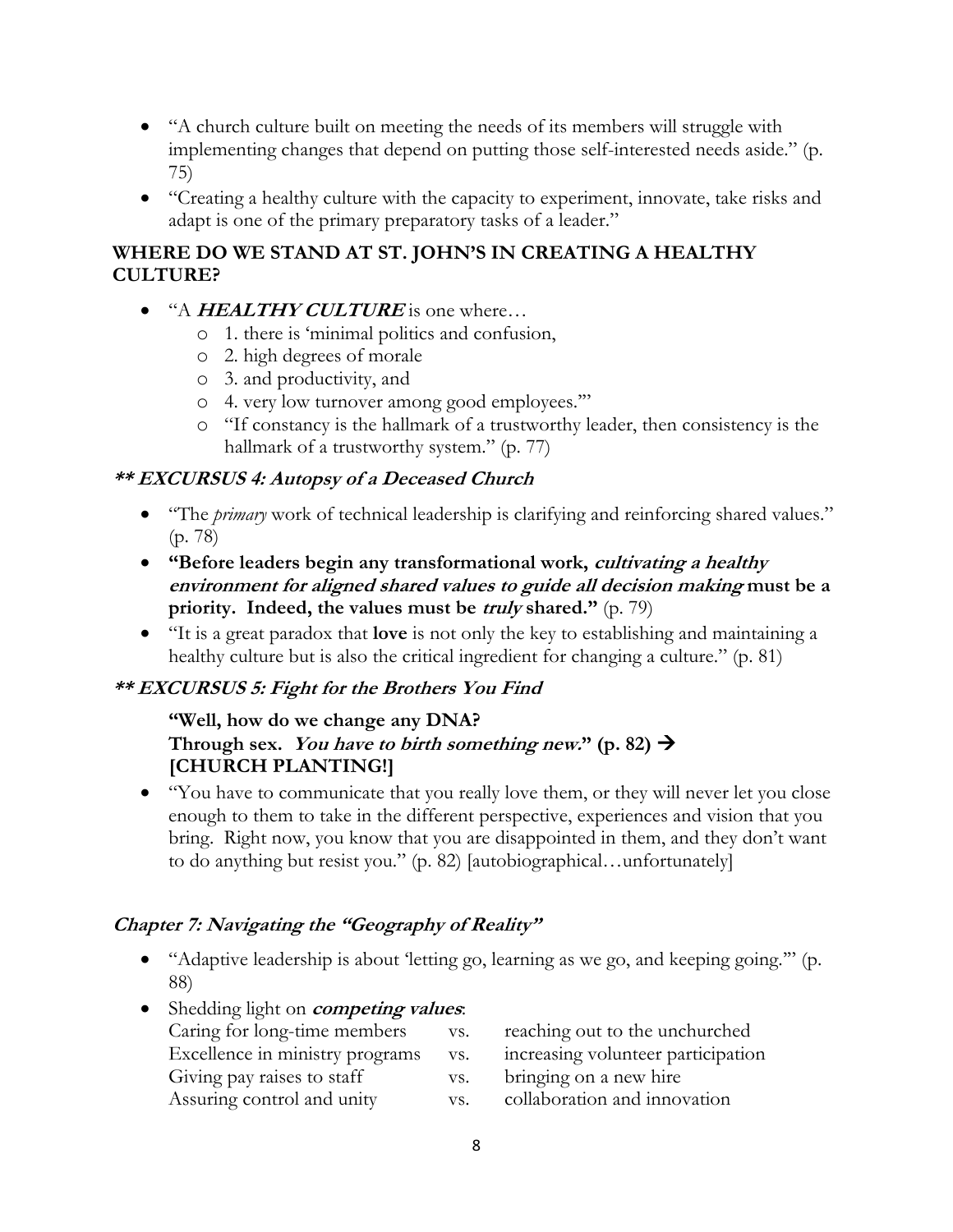- "A church culture built on meeting the needs of its members will struggle with implementing changes that depend on putting those self-interested needs aside." (p. 75)
- "Creating a healthy culture with the capacity to experiment, innovate, take risks and adapt is one of the primary preparatory tasks of a leader."

# **WHERE DO WE STAND AT ST. JOHN'S IN CREATING A HEALTHY CULTURE?**

- <sup>"A</sup> **HEALTHY CULTURE** is one where...
	- o 1. there is 'minimal politics and confusion,
	- o 2. high degrees of morale
	- o 3. and productivity, and
	- o 4. very low turnover among good employees.'"
	- o "If constancy is the hallmark of a trustworthy leader, then consistency is the hallmark of a trustworthy system." (p. 77)

## **\*\* EXCURSUS 4: Autopsy of a Deceased Church**

- "The *primary* work of technical leadership is clarifying and reinforcing shared values." (p. 78)
- **"Before leaders begin any transformational work, cultivating a healthy environment for aligned shared values to guide all decision making must be a priority. Indeed, the values must be truly shared."** (p. 79)
- "It is a great paradox that **love** is not only the key to establishing and maintaining a healthy culture but is also the critical ingredient for changing a culture." (p. 81)

## **\*\* EXCURSUS 5: Fight for the Brothers You Find**

#### **"Well, how do we change any DNA? Through sex.** You have to birth something new.<sup>\*</sup> (p. 82)  $\rightarrow$ **[CHURCH PLANTING!]**

• "You have to communicate that you really love them, or they will never let you close enough to them to take in the different perspective, experiences and vision that you bring. Right now, you know that you are disappointed in them, and they don't want to do anything but resist you." (p. 82) [autobiographical…unfortunately]

## **Chapter 7: Navigating the "Geography of Reality"**

- "Adaptive leadership is about 'letting go, learning as we go, and keeping going." (p. 88)
- Shedding light on **competing values**: Caring for long-time members vs. reaching out to the unchurched Excellence in ministry programs vs. increasing volunteer participation Giving pay raises to staff vs. bringing on a new hire Assuring control and unity vs. collaboration and innovation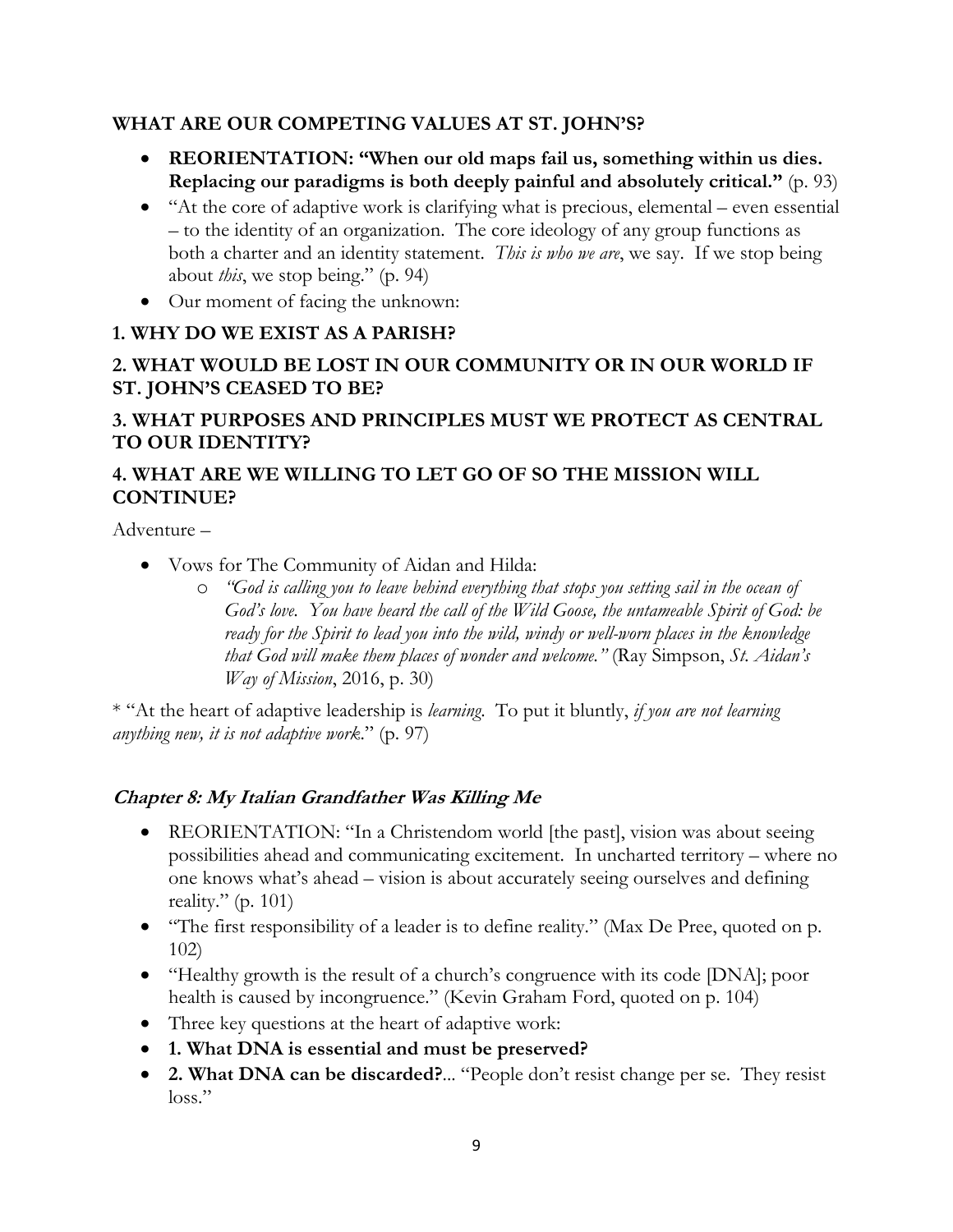# **WHAT ARE OUR COMPETING VALUES AT ST. JOHN'S?**

- **REORIENTATION: "When our old maps fail us, something within us dies. Replacing our paradigms is both deeply painful and absolutely critical."** (p. 93)
- "At the core of adaptive work is clarifying what is precious, elemental even essential – to the identity of an organization. The core ideology of any group functions as both a charter and an identity statement. *This is who we are*, we say. If we stop being about *this*, we stop being." (p. 94)
- Our moment of facing the unknown:

# **1. WHY DO WE EXIST AS A PARISH?**

# **2. WHAT WOULD BE LOST IN OUR COMMUNITY OR IN OUR WORLD IF ST. JOHN'S CEASED TO BE?**

# **3. WHAT PURPOSES AND PRINCIPLES MUST WE PROTECT AS CENTRAL TO OUR IDENTITY?**

# **4. WHAT ARE WE WILLING TO LET GO OF SO THE MISSION WILL CONTINUE?**

Adventure –

- Vows for The Community of Aidan and Hilda:
	- o *"God is calling you to leave behind everything that stops you setting sail in the ocean of God's love. You have heard the call of the Wild Goose, the untameable Spirit of God: be ready for the Spirit to lead you into the wild, windy or well-worn places in the knowledge that God will make them places of wonder and welcome."* (Ray Simpson, *St. Aidan's Way of Mission*, 2016, p. 30)

\* "At the heart of adaptive leadership is *learning*. To put it bluntly, *if you are not learning anything new, it is not adaptive work*." (p. 97)

# **Chapter 8: My Italian Grandfather Was Killing Me**

- REORIENTATION: "In a Christendom world [the past], vision was about seeing possibilities ahead and communicating excitement. In uncharted territory – where no one knows what's ahead – vision is about accurately seeing ourselves and defining reality." (p. 101)
- "The first responsibility of a leader is to define reality." (Max De Pree, quoted on p. 102)
- "Healthy growth is the result of a church's congruence with its code [DNA]; poor health is caused by incongruence." (Kevin Graham Ford, quoted on p. 104)
- Three key questions at the heart of adaptive work:
- **1. What DNA is essential and must be preserved?**
- **2. What DNA can be discarded?**... "People don't resist change per se. They resist loss."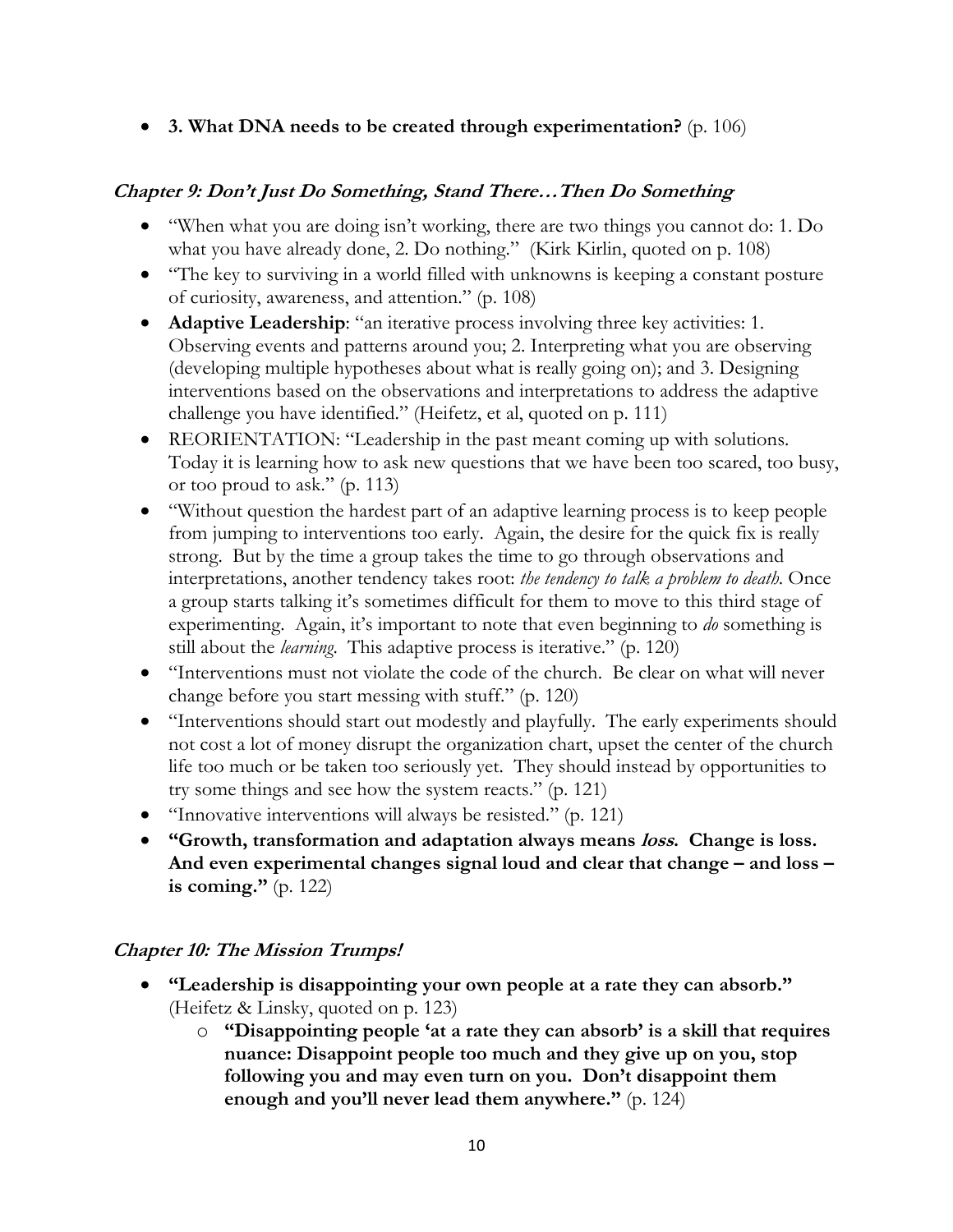• **3. What DNA needs to be created through experimentation?** (p. 106)

## **Chapter 9: Don't Just Do Something, Stand There…Then Do Something**

- "When what you are doing isn't working, there are two things you cannot do: 1. Do what you have already done, 2. Do nothing." (Kirk Kirlin, quoted on p. 108)
- "The key to surviving in a world filled with unknowns is keeping a constant posture of curiosity, awareness, and attention." (p. 108)
- **Adaptive Leadership**: "an iterative process involving three key activities: 1. Observing events and patterns around you; 2. Interpreting what you are observing (developing multiple hypotheses about what is really going on); and 3. Designing interventions based on the observations and interpretations to address the adaptive challenge you have identified." (Heifetz, et al, quoted on p. 111)
- REORIENTATION: "Leadership in the past meant coming up with solutions. Today it is learning how to ask new questions that we have been too scared, too busy, or too proud to ask." (p. 113)
- "Without question the hardest part of an adaptive learning process is to keep people from jumping to interventions too early. Again, the desire for the quick fix is really strong. But by the time a group takes the time to go through observations and interpretations, another tendency takes root: *the tendency to talk a problem to death*. Once a group starts talking it's sometimes difficult for them to move to this third stage of experimenting. Again, it's important to note that even beginning to *do* something is still about the *learning*. This adaptive process is iterative." (p. 120)
- "Interventions must not violate the code of the church. Be clear on what will never change before you start messing with stuff." (p. 120)
- "Interventions should start out modestly and playfully. The early experiments should not cost a lot of money disrupt the organization chart, upset the center of the church life too much or be taken too seriously yet. They should instead by opportunities to try some things and see how the system reacts." (p. 121)
- "Innovative interventions will always be resisted." (p. 121)
- **"Growth, transformation and adaptation always means loss. Change is loss. And even experimental changes signal loud and clear that change – and loss – is coming."** (p. 122)

## **Chapter 10: The Mission Trumps!**

- **"Leadership is disappointing your own people at a rate they can absorb."** (Heifetz & Linsky, quoted on p. 123)
	- o **"Disappointing people 'at a rate they can absorb' is a skill that requires nuance: Disappoint people too much and they give up on you, stop following you and may even turn on you. Don't disappoint them enough and you'll never lead them anywhere."** (p. 124)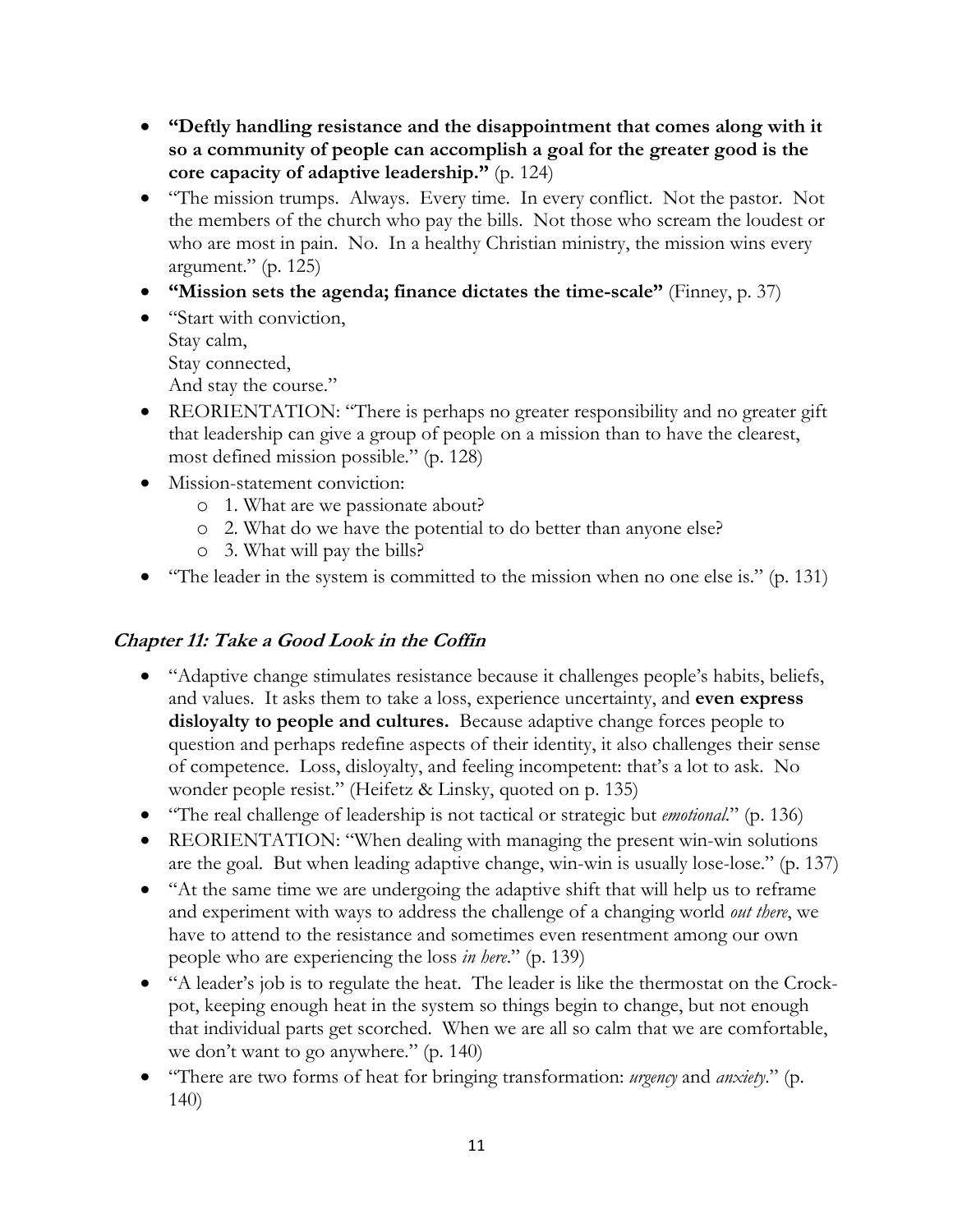- **"Deftly handling resistance and the disappointment that comes along with it so a community of people can accomplish a goal for the greater good is the core capacity of adaptive leadership."** (p. 124)
- "The mission trumps. Always. Every time. In every conflict. Not the pastor. Not the members of the church who pay the bills. Not those who scream the loudest or who are most in pain. No. In a healthy Christian ministry, the mission wins every argument." (p. 125)
- **"Mission sets the agenda; finance dictates the time-scale"** (Finney, p. 37)
- "Start with conviction, Stay calm, Stay connected, And stay the course."
- REORIENTATION: "There is perhaps no greater responsibility and no greater gift that leadership can give a group of people on a mission than to have the clearest, most defined mission possible." (p. 128)
- Mission-statement conviction:
	- o 1. What are we passionate about?
	- o 2. What do we have the potential to do better than anyone else?
	- o 3. What will pay the bills?
- "The leader in the system is committed to the mission when no one else is." (p. 131)

#### **Chapter 11: Take a Good Look in the Coffin**

- "Adaptive change stimulates resistance because it challenges people's habits, beliefs, and values. It asks them to take a loss, experience uncertainty, and **even express disloyalty to people and cultures.** Because adaptive change forces people to question and perhaps redefine aspects of their identity, it also challenges their sense of competence. Loss, disloyalty, and feeling incompetent: that's a lot to ask. No wonder people resist." (Heifetz & Linsky, quoted on p. 135)
- "The real challenge of leadership is not tactical or strategic but *emotional*." (p. 136)
- REORIENTATION: "When dealing with managing the present win-win solutions are the goal. But when leading adaptive change, win-win is usually lose-lose." (p. 137)
- "At the same time we are undergoing the adaptive shift that will help us to reframe and experiment with ways to address the challenge of a changing world *out there*, we have to attend to the resistance and sometimes even resentment among our own people who are experiencing the loss *in here*." (p. 139)
- "A leader's job is to regulate the heat. The leader is like the thermostat on the Crockpot, keeping enough heat in the system so things begin to change, but not enough that individual parts get scorched. When we are all so calm that we are comfortable, we don't want to go anywhere." (p. 140)
- "There are two forms of heat for bringing transformation: *urgency* and *anxiety*." (p. 140)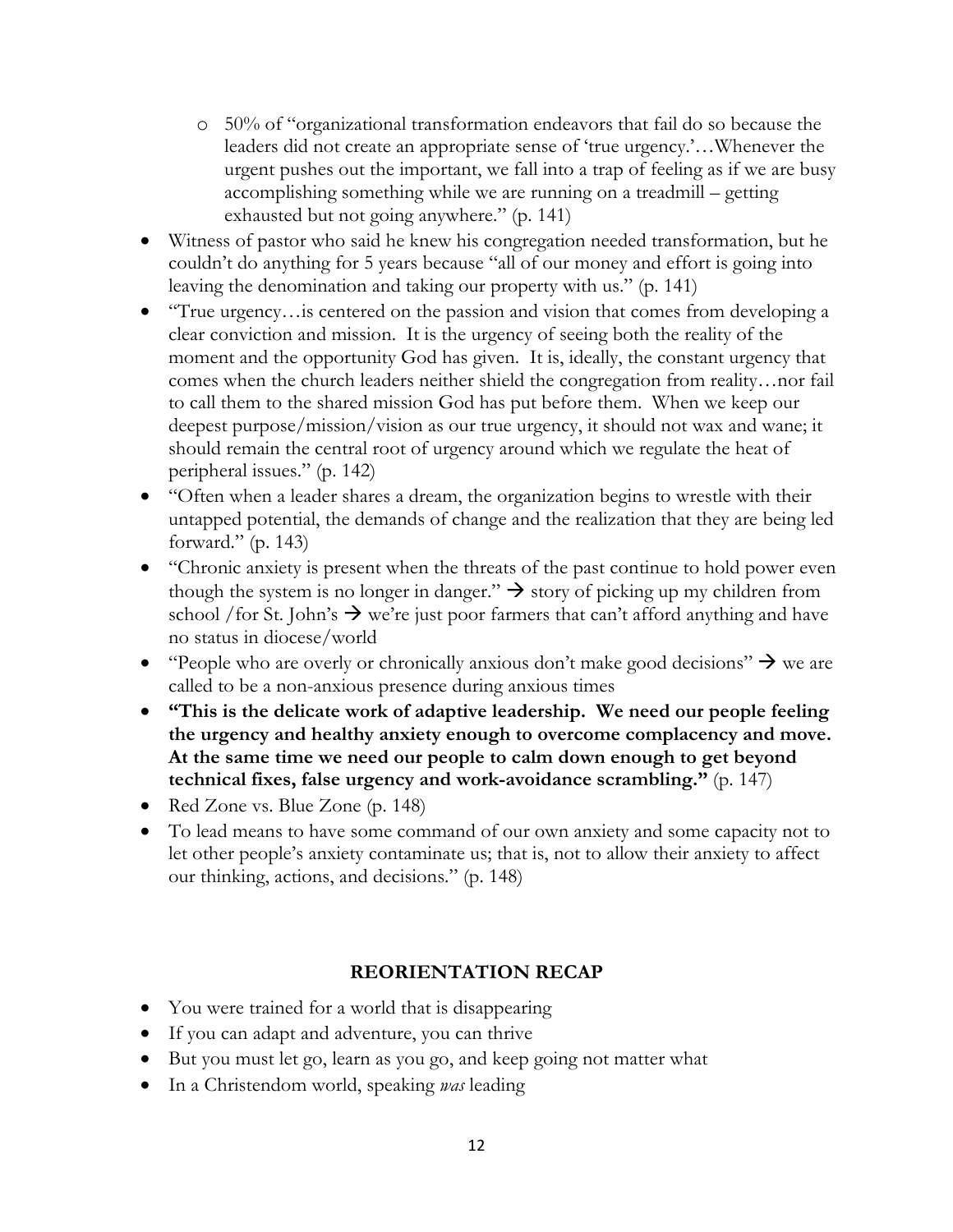- o 50% of "organizational transformation endeavors that fail do so because the leaders did not create an appropriate sense of 'true urgency.'…Whenever the urgent pushes out the important, we fall into a trap of feeling as if we are busy accomplishing something while we are running on a treadmill – getting exhausted but not going anywhere." (p. 141)
- Witness of pastor who said he knew his congregation needed transformation, but he couldn't do anything for 5 years because "all of our money and effort is going into leaving the denomination and taking our property with us." (p. 141)
- "True urgency... is centered on the passion and vision that comes from developing a clear conviction and mission. It is the urgency of seeing both the reality of the moment and the opportunity God has given. It is, ideally, the constant urgency that comes when the church leaders neither shield the congregation from reality…nor fail to call them to the shared mission God has put before them. When we keep our deepest purpose/mission/vision as our true urgency, it should not wax and wane; it should remain the central root of urgency around which we regulate the heat of peripheral issues." (p. 142)
- "Often when a leader shares a dream, the organization begins to wrestle with their untapped potential, the demands of change and the realization that they are being led forward." (p. 143)
- "Chronic anxiety is present when the threats of the past continue to hold power even though the system is no longer in danger."  $\rightarrow$  story of picking up my children from school /for St. John's  $\rightarrow$  we're just poor farmers that can't afford anything and have no status in diocese/world
- "People who are overly or chronically anxious don't make good decisions"  $\rightarrow$  we are called to be a non-anxious presence during anxious times
- **"This is the delicate work of adaptive leadership. We need our people feeling the urgency and healthy anxiety enough to overcome complacency and move. At the same time we need our people to calm down enough to get beyond technical fixes, false urgency and work-avoidance scrambling."** (p. 147)
- Red Zone vs. Blue Zone (p. 148)
- To lead means to have some command of our own anxiety and some capacity not to let other people's anxiety contaminate us; that is, not to allow their anxiety to affect our thinking, actions, and decisions." (p. 148)

## **REORIENTATION RECAP**

- You were trained for a world that is disappearing
- If you can adapt and adventure, you can thrive
- But you must let go, learn as you go, and keep going not matter what
- In a Christendom world, speaking *was* leading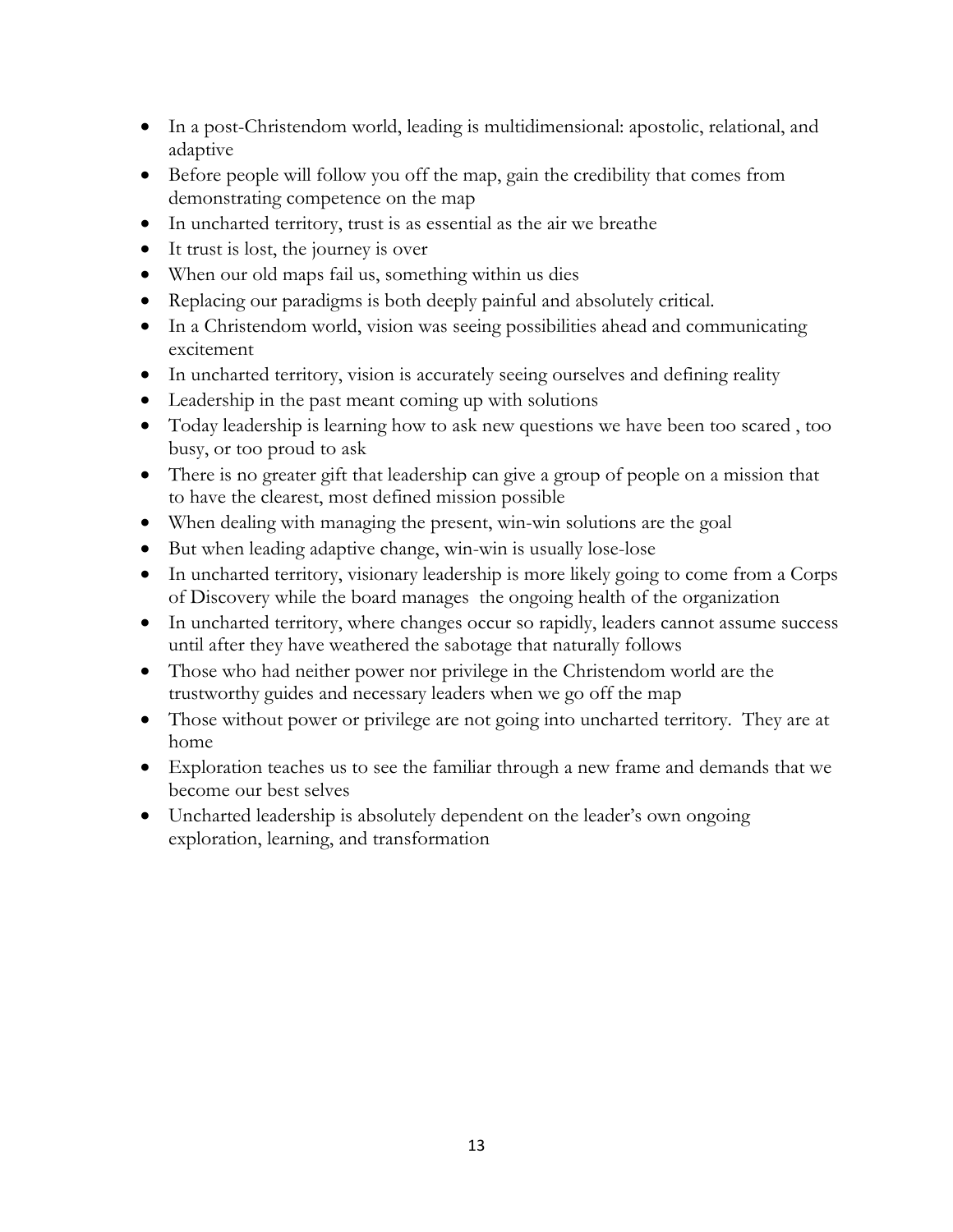- In a post-Christendom world, leading is multidimensional: apostolic, relational, and adaptive
- Before people will follow you off the map, gain the credibility that comes from demonstrating competence on the map
- In uncharted territory, trust is as essential as the air we breathe
- It trust is lost, the journey is over
- When our old maps fail us, something within us dies
- Replacing our paradigms is both deeply painful and absolutely critical.
- In a Christendom world, vision was seeing possibilities ahead and communicating excitement
- In uncharted territory, vision is accurately seeing ourselves and defining reality
- Leadership in the past meant coming up with solutions
- Today leadership is learning how to ask new questions we have been too scared , too busy, or too proud to ask
- There is no greater gift that leadership can give a group of people on a mission that to have the clearest, most defined mission possible
- When dealing with managing the present, win-win solutions are the goal
- But when leading adaptive change, win-win is usually lose-lose
- In uncharted territory, visionary leadership is more likely going to come from a Corps of Discovery while the board manages the ongoing health of the organization
- In uncharted territory, where changes occur so rapidly, leaders cannot assume success until after they have weathered the sabotage that naturally follows
- Those who had neither power nor privilege in the Christendom world are the trustworthy guides and necessary leaders when we go off the map
- Those without power or privilege are not going into uncharted territory. They are at home
- Exploration teaches us to see the familiar through a new frame and demands that we become our best selves
- Uncharted leadership is absolutely dependent on the leader's own ongoing exploration, learning, and transformation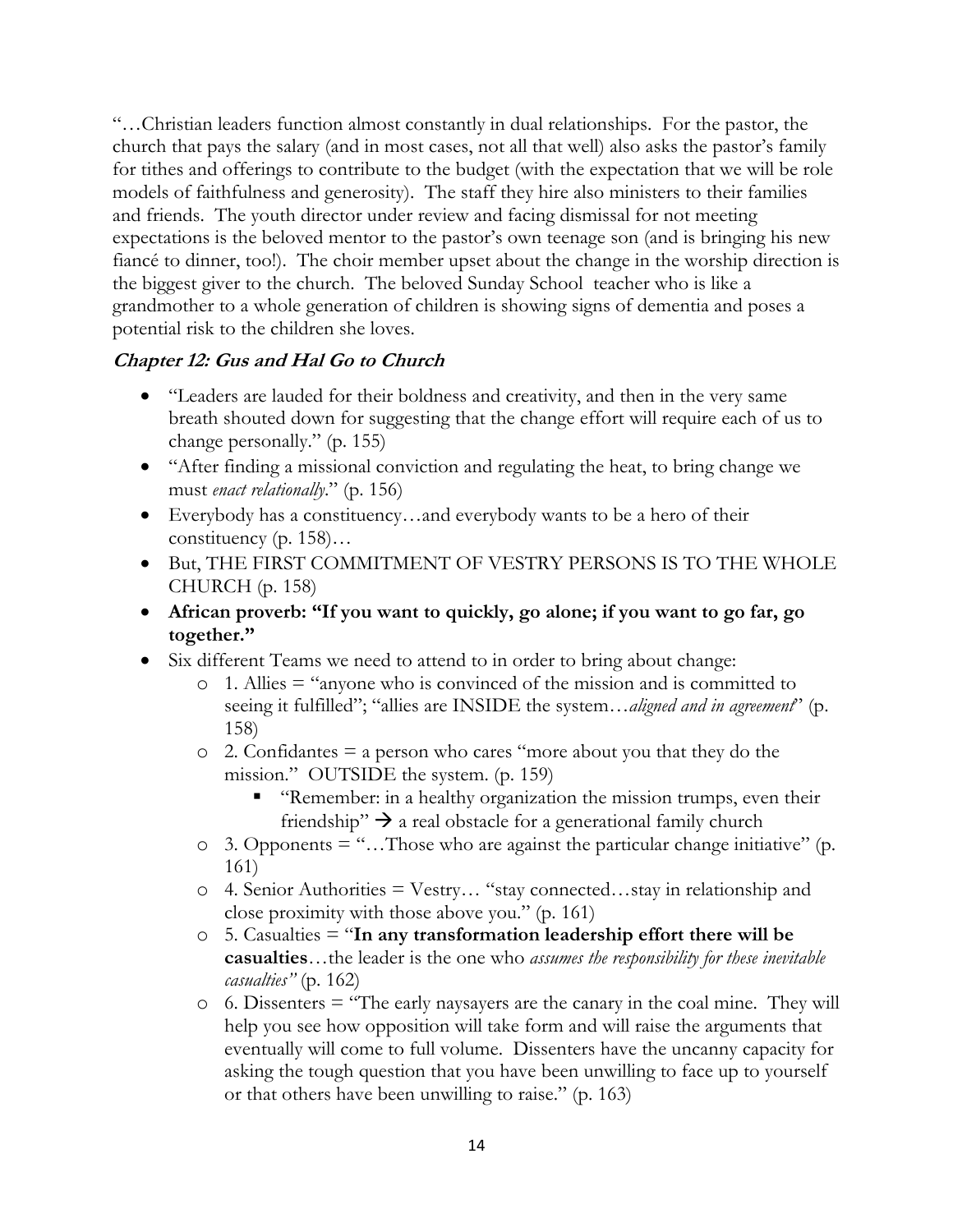"…Christian leaders function almost constantly in dual relationships. For the pastor, the church that pays the salary (and in most cases, not all that well) also asks the pastor's family for tithes and offerings to contribute to the budget (with the expectation that we will be role models of faithfulness and generosity). The staff they hire also ministers to their families and friends. The youth director under review and facing dismissal for not meeting expectations is the beloved mentor to the pastor's own teenage son (and is bringing his new fiancé to dinner, too!). The choir member upset about the change in the worship direction is the biggest giver to the church. The beloved Sunday School teacher who is like a grandmother to a whole generation of children is showing signs of dementia and poses a potential risk to the children she loves.

## **Chapter 12: Gus and Hal Go to Church**

- "Leaders are lauded for their boldness and creativity, and then in the very same breath shouted down for suggesting that the change effort will require each of us to change personally." (p. 155)
- "After finding a missional conviction and regulating the heat, to bring change we must *enact relationally*." (p. 156)
- Everybody has a constituency...and everybody wants to be a hero of their constituency (p. 158)…
- But, THE FIRST COMMITMENT OF VESTRY PERSONS IS TO THE WHOLE CHURCH (p. 158)
- **African proverb: "If you want to quickly, go alone; if you want to go far, go together."**
- Six different Teams we need to attend to in order to bring about change:
	- o 1. Allies = "anyone who is convinced of the mission and is committed to seeing it fulfilled"; "allies are INSIDE the system…*aligned and in agreement*" (p. 158)
	- $\circ$  2. Confidantes = a person who cares "more about you that they do the mission." OUTSIDE the system. (p. 159)
		- § "Remember: in a healthy organization the mission trumps, even their friendship"  $\rightarrow$  a real obstacle for a generational family church
	- o 3. Opponents = "…Those who are against the particular change initiative" (p. 161)
	- o 4. Senior Authorities = Vestry… "stay connected…stay in relationship and close proximity with those above you." (p. 161)
	- o 5. Casualties = "**In any transformation leadership effort there will be casualties**…the leader is the one who *assumes the responsibility for these inevitable casualties"* (p. 162)
	- o 6. Dissenters = "The early naysayers are the canary in the coal mine. They will help you see how opposition will take form and will raise the arguments that eventually will come to full volume. Dissenters have the uncanny capacity for asking the tough question that you have been unwilling to face up to yourself or that others have been unwilling to raise." (p. 163)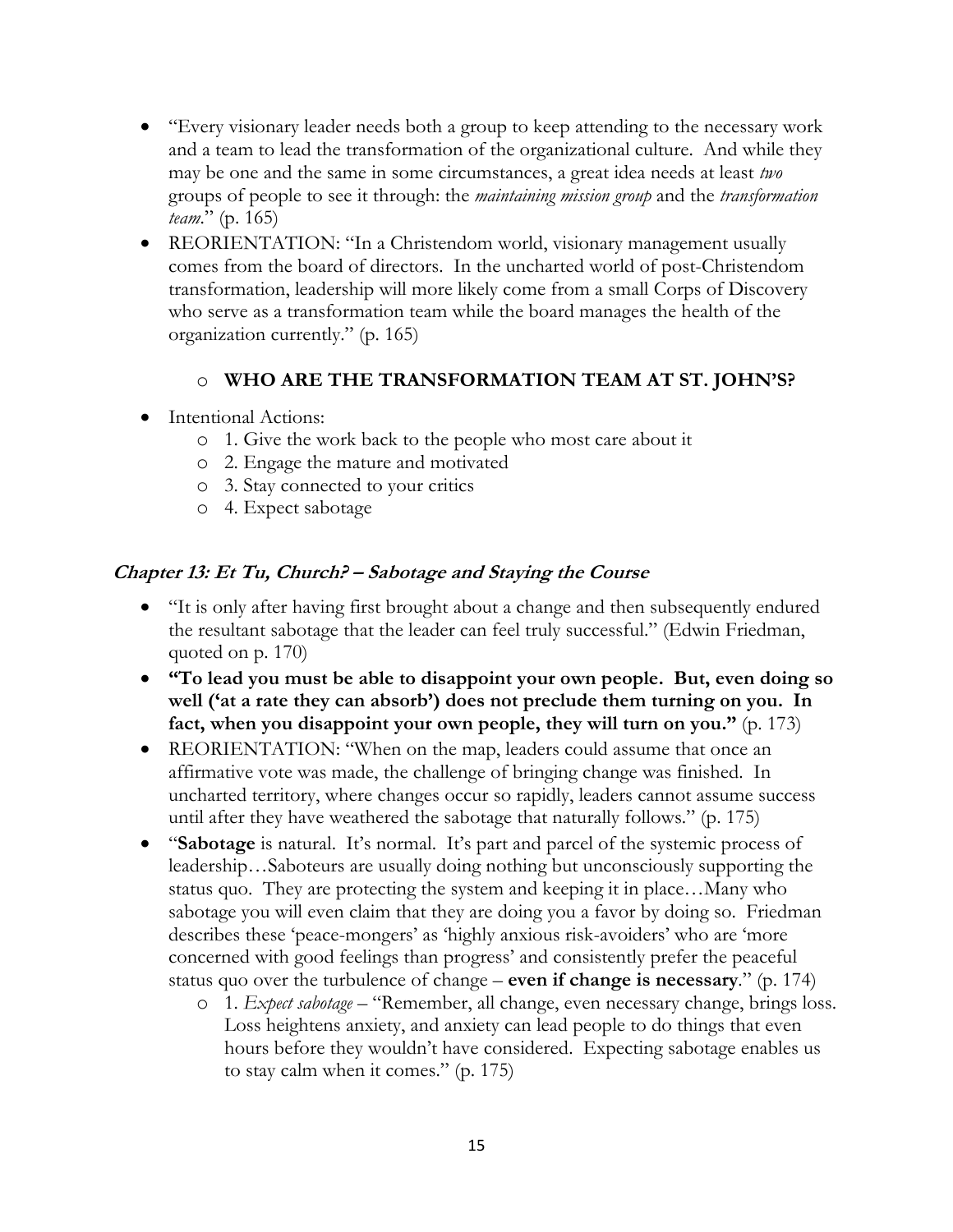- "Every visionary leader needs both a group to keep attending to the necessary work and a team to lead the transformation of the organizational culture. And while they may be one and the same in some circumstances, a great idea needs at least *two* groups of people to see it through: the *maintaining mission group* and the *transformation team*." (p. 165)
- REORIENTATION: "In a Christendom world, visionary management usually comes from the board of directors. In the uncharted world of post-Christendom transformation, leadership will more likely come from a small Corps of Discovery who serve as a transformation team while the board manages the health of the organization currently." (p. 165)

#### o **WHO ARE THE TRANSFORMATION TEAM AT ST. JOHN'S?**

- Intentional Actions:
	- o 1. Give the work back to the people who most care about it
	- o 2. Engage the mature and motivated
	- o 3. Stay connected to your critics
	- o 4. Expect sabotage

#### **Chapter 13: Et Tu, Church? – Sabotage and Staying the Course**

- "It is only after having first brought about a change and then subsequently endured the resultant sabotage that the leader can feel truly successful." (Edwin Friedman, quoted on p. 170)
- **"To lead you must be able to disappoint your own people. But, even doing so well ('at a rate they can absorb') does not preclude them turning on you. In fact, when you disappoint your own people, they will turn on you."** (p. 173)
- REORIENTATION: "When on the map, leaders could assume that once an affirmative vote was made, the challenge of bringing change was finished. In uncharted territory, where changes occur so rapidly, leaders cannot assume success until after they have weathered the sabotage that naturally follows." (p. 175)
- "**Sabotage** is natural. It's normal. It's part and parcel of the systemic process of leadership…Saboteurs are usually doing nothing but unconsciously supporting the status quo. They are protecting the system and keeping it in place…Many who sabotage you will even claim that they are doing you a favor by doing so. Friedman describes these 'peace-mongers' as 'highly anxious risk-avoiders' who are 'more concerned with good feelings than progress' and consistently prefer the peaceful status quo over the turbulence of change – **even if change is necessary**." (p. 174)
	- o 1. *Expect sabotage* "Remember, all change, even necessary change, brings loss. Loss heightens anxiety, and anxiety can lead people to do things that even hours before they wouldn't have considered. Expecting sabotage enables us to stay calm when it comes." (p. 175)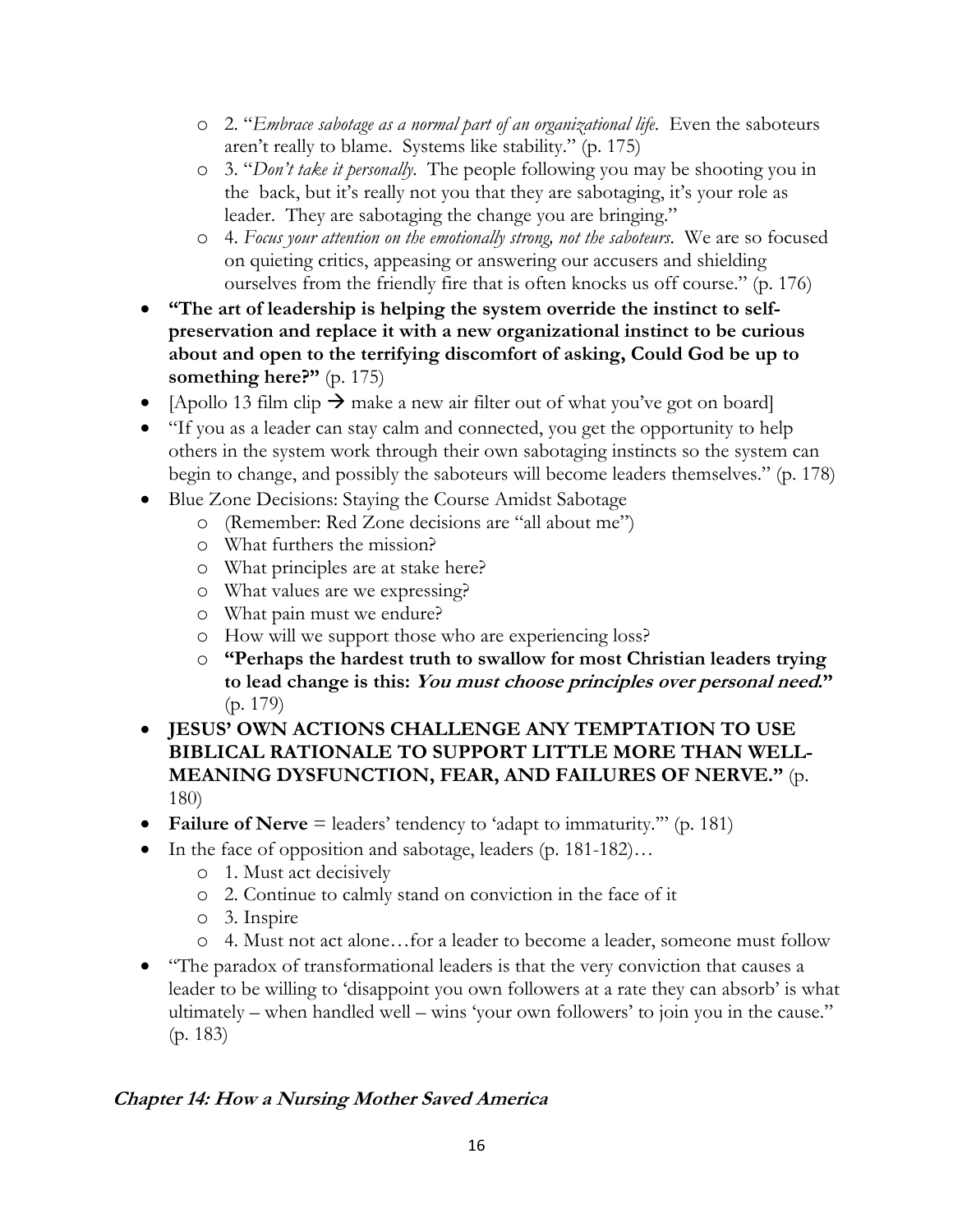- o 2. "*Embrace sabotage as a normal part of an organizational life*. Even the saboteurs aren't really to blame. Systems like stability." (p. 175)
- o 3. "*Don't take it personally*. The people following you may be shooting you in the back, but it's really not you that they are sabotaging, it's your role as leader. They are sabotaging the change you are bringing."
- o 4. *Focus your attention on the emotionally strong, not the saboteurs*. We are so focused on quieting critics, appeasing or answering our accusers and shielding ourselves from the friendly fire that is often knocks us off course." (p. 176)
- **"The art of leadership is helping the system override the instinct to selfpreservation and replace it with a new organizational instinct to be curious about and open to the terrifying discomfort of asking, Could God be up to something here?"** (p. 175)
- [Apollo 13 film clip  $\rightarrow$  make a new air filter out of what you've got on board]
- "If you as a leader can stay calm and connected, you get the opportunity to help others in the system work through their own sabotaging instincts so the system can begin to change, and possibly the saboteurs will become leaders themselves." (p. 178)
- Blue Zone Decisions: Staying the Course Amidst Sabotage
	- o (Remember: Red Zone decisions are "all about me")
	- o What furthers the mission?
	- o What principles are at stake here?
	- o What values are we expressing?
	- o What pain must we endure?
	- o How will we support those who are experiencing loss?
	- o **"Perhaps the hardest truth to swallow for most Christian leaders trying to lead change is this: You must choose principles over personal need."** (p. 179)
- **JESUS' OWN ACTIONS CHALLENGE ANY TEMPTATION TO USE BIBLICAL RATIONALE TO SUPPORT LITTLE MORE THAN WELL-MEANING DYSFUNCTION, FEAR, AND FAILURES OF NERVE."** (p. 180)
- **Failure of Nerve** = leaders' tendency to 'adapt to immaturity.'" (p. 181)
- In the face of opposition and sabotage, leaders (p. 181-182)...
	- o 1. Must act decisively
	- o 2. Continue to calmly stand on conviction in the face of it
	- o 3. Inspire
	- o 4. Must not act alone…for a leader to become a leader, someone must follow
- "The paradox of transformational leaders is that the very conviction that causes a leader to be willing to 'disappoint you own followers at a rate they can absorb' is what ultimately – when handled well – wins 'your own followers' to join you in the cause." (p. 183)

# **Chapter 14: How a Nursing Mother Saved America**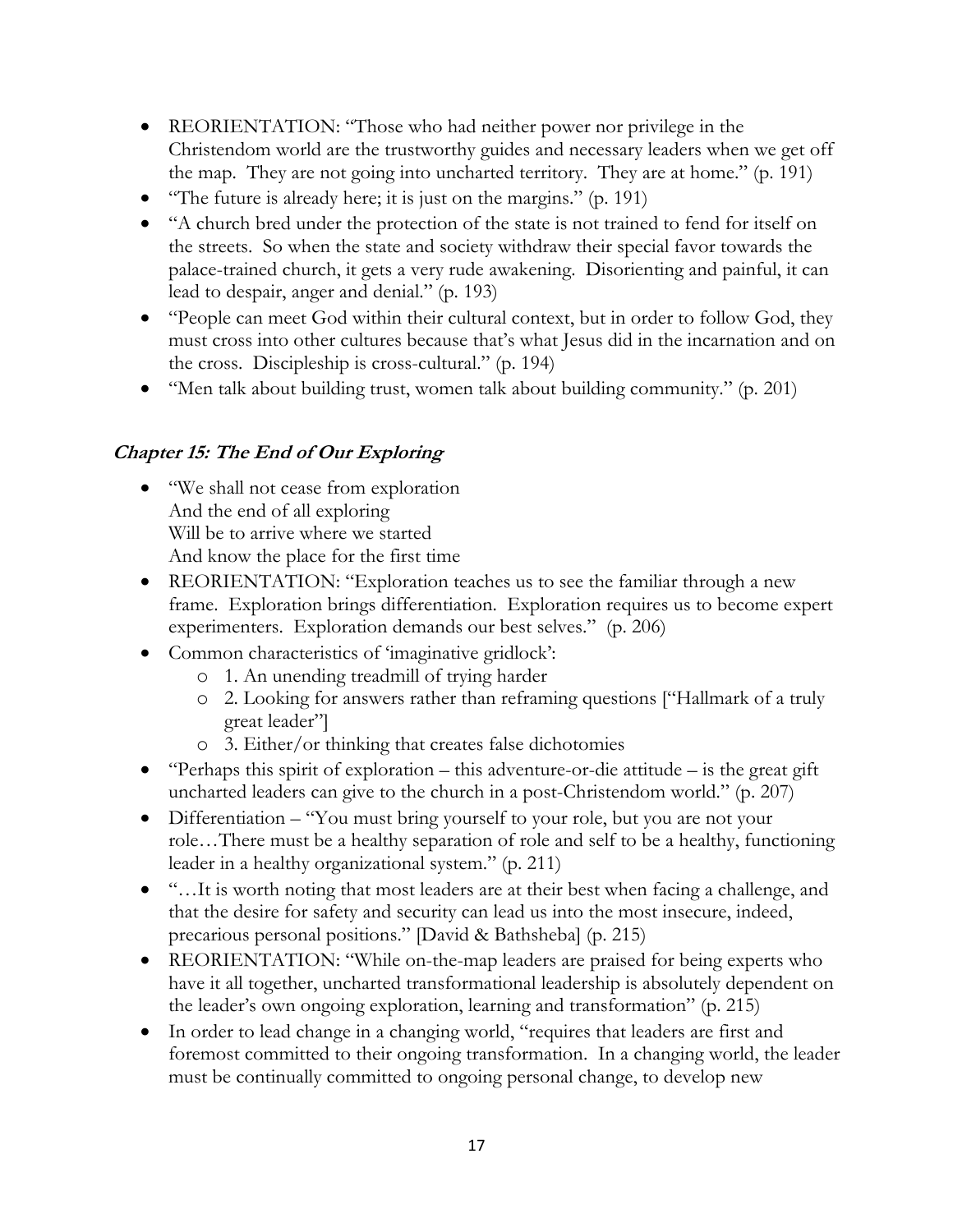- REORIENTATION: "Those who had neither power nor privilege in the Christendom world are the trustworthy guides and necessary leaders when we get off the map. They are not going into uncharted territory. They are at home." (p. 191)
- "The future is already here; it is just on the margins." (p. 191)
- "A church bred under the protection of the state is not trained to fend for itself on the streets. So when the state and society withdraw their special favor towards the palace-trained church, it gets a very rude awakening. Disorienting and painful, it can lead to despair, anger and denial." (p. 193)
- "People can meet God within their cultural context, but in order to follow God, they must cross into other cultures because that's what Jesus did in the incarnation and on the cross. Discipleship is cross-cultural." (p. 194)
- "Men talk about building trust, women talk about building community." (p. 201)

# **Chapter 15: The End of Our Exploring**

- "We shall not cease from exploration" And the end of all exploring Will be to arrive where we started And know the place for the first time
- REORIENTATION: "Exploration teaches us to see the familiar through a new frame. Exploration brings differentiation. Exploration requires us to become expert experimenters. Exploration demands our best selves." (p. 206)
- Common characteristics of 'imaginative gridlock':
	- o 1. An unending treadmill of trying harder
	- o 2. Looking for answers rather than reframing questions ["Hallmark of a truly great leader"]
	- o 3. Either/or thinking that creates false dichotomies
- "Perhaps this spirit of exploration this adventure-or-die attitude is the great gift uncharted leaders can give to the church in a post-Christendom world." (p. 207)
- Differentiation "You must bring yourself to your role, but you are not your role…There must be a healthy separation of role and self to be a healthy, functioning leader in a healthy organizational system." (p. 211)
- "...It is worth noting that most leaders are at their best when facing a challenge, and that the desire for safety and security can lead us into the most insecure, indeed, precarious personal positions." [David & Bathsheba] (p. 215)
- REORIENTATION: "While on-the-map leaders are praised for being experts who have it all together, uncharted transformational leadership is absolutely dependent on the leader's own ongoing exploration, learning and transformation" (p. 215)
- In order to lead change in a changing world, "requires that leaders are first and foremost committed to their ongoing transformation. In a changing world, the leader must be continually committed to ongoing personal change, to develop new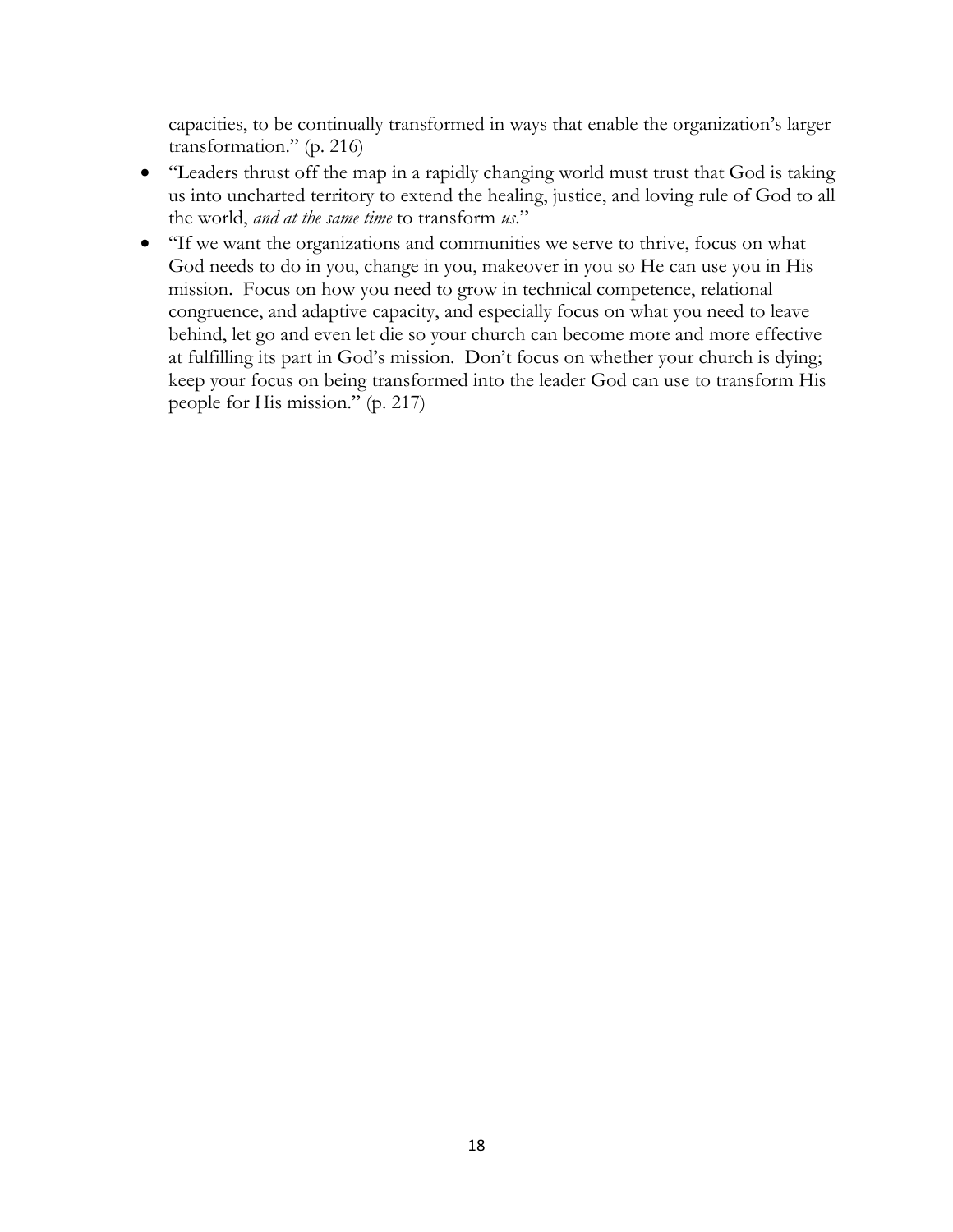capacities, to be continually transformed in ways that enable the organization's larger transformation." (p. 216)

- "Leaders thrust off the map in a rapidly changing world must trust that God is taking us into uncharted territory to extend the healing, justice, and loving rule of God to all the world, *and at the same time* to transform *us*."
- "If we want the organizations and communities we serve to thrive, focus on what God needs to do in you, change in you, makeover in you so He can use you in His mission. Focus on how you need to grow in technical competence, relational congruence, and adaptive capacity, and especially focus on what you need to leave behind, let go and even let die so your church can become more and more effective at fulfilling its part in God's mission. Don't focus on whether your church is dying; keep your focus on being transformed into the leader God can use to transform His people for His mission." (p. 217)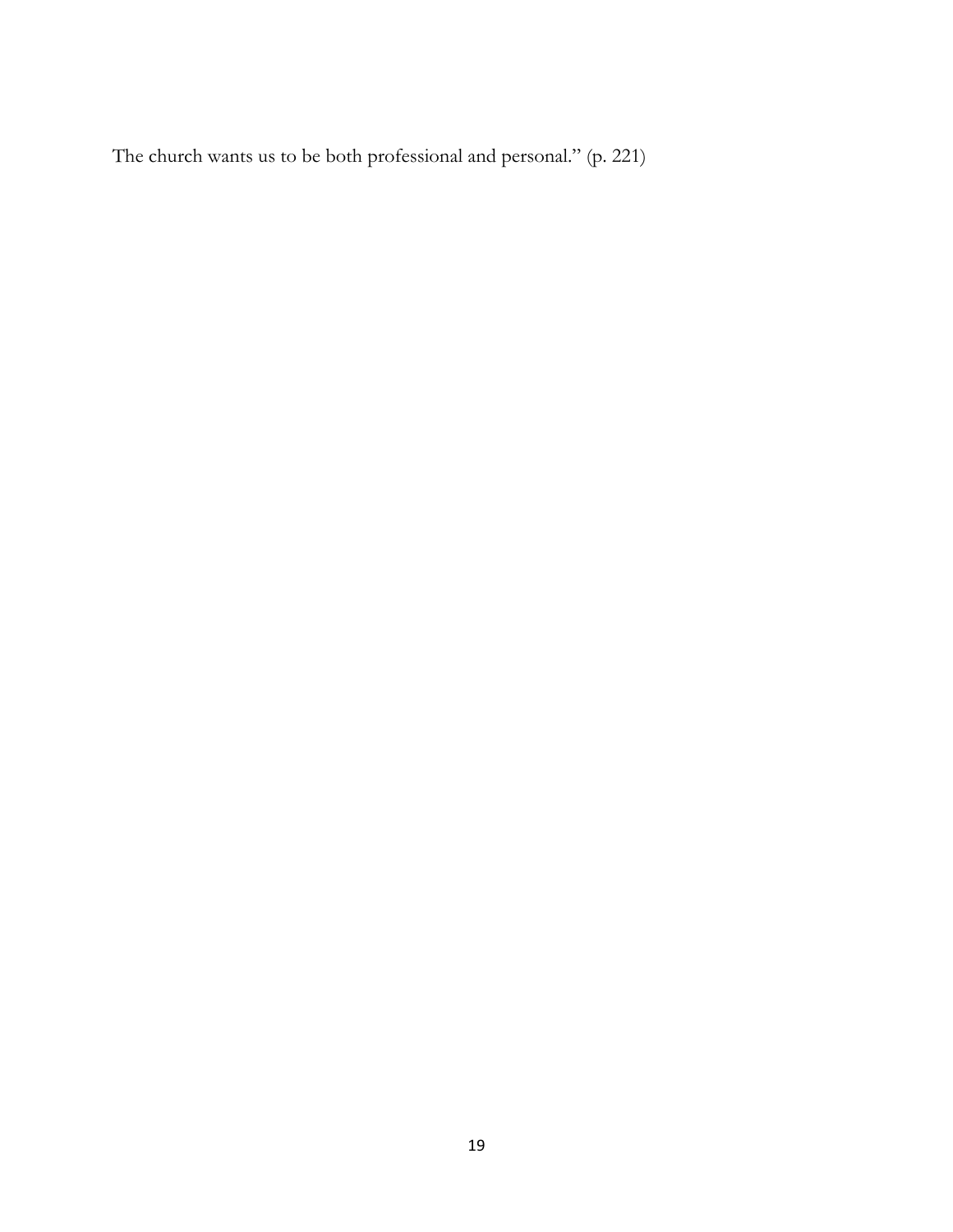The church wants us to be both professional and personal." (p. 221)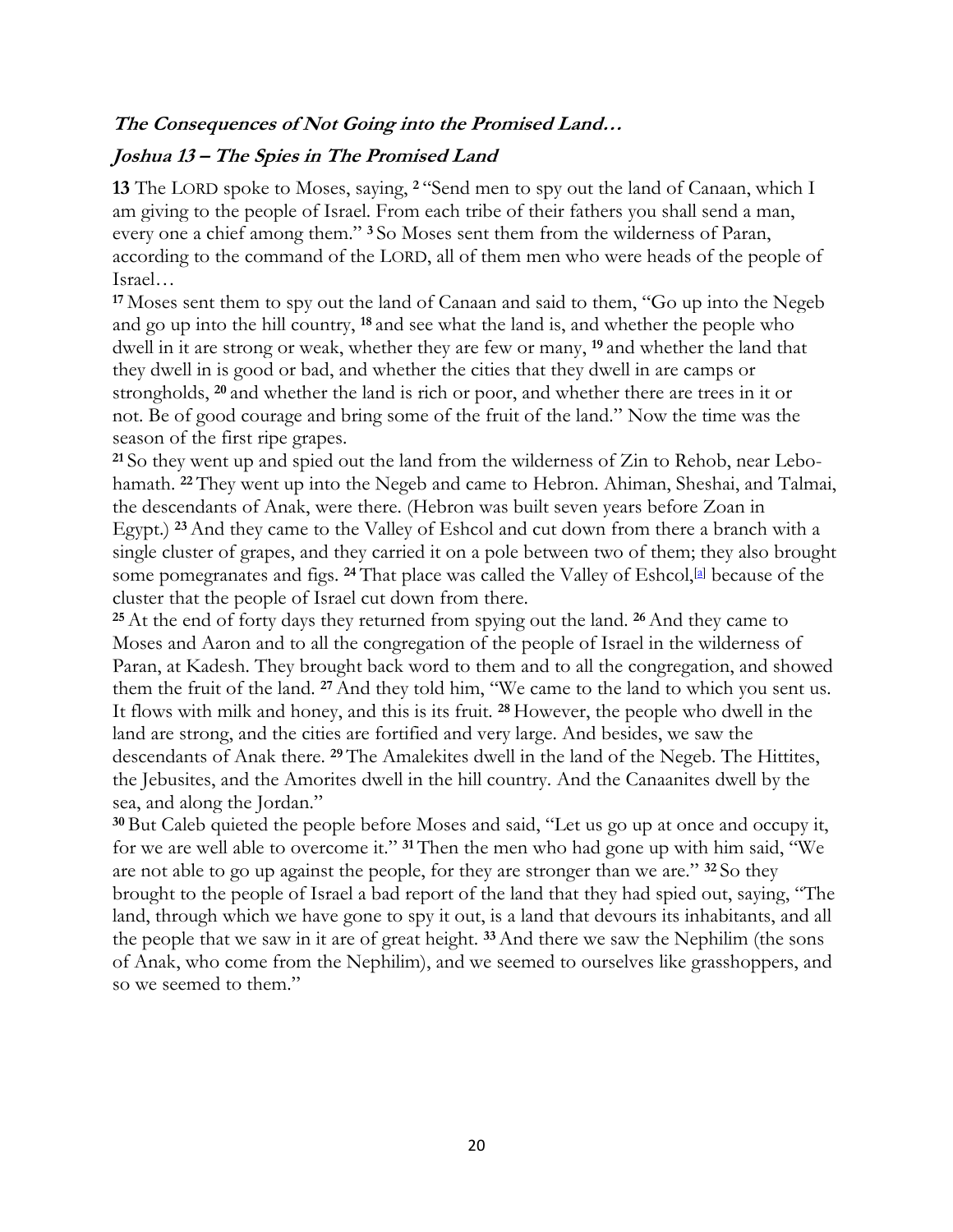## **The Consequences of Not Going into the Promised Land…**

#### **Joshua 13 – The Spies in The Promised Land**

**13** The LORD spoke to Moses, saying, **<sup>2</sup>** "Send men to spy out the land of Canaan, which I am giving to the people of Israel. From each tribe of their fathers you shall send a man, every one a chief among them." **<sup>3</sup>** So Moses sent them from the wilderness of Paran, according to the command of the LORD, all of them men who were heads of the people of Israel…

**<sup>17</sup>** Moses sent them to spy out the land of Canaan and said to them, "Go up into the Negeb and go up into the hill country, **<sup>18</sup>** and see what the land is, and whether the people who dwell in it are strong or weak, whether they are few or many, **<sup>19</sup>** and whether the land that they dwell in is good or bad, and whether the cities that they dwell in are camps or strongholds, **<sup>20</sup>** and whether the land is rich or poor, and whether there are trees in it or not. Be of good courage and bring some of the fruit of the land." Now the time was the season of the first ripe grapes.

**<sup>21</sup>** So they went up and spied out the land from the wilderness of Zin to Rehob, near Lebohamath. **<sup>22</sup>** They went up into the Negeb and came to Hebron. Ahiman, Sheshai, and Talmai, the descendants of Anak, were there. (Hebron was built seven years before Zoan in Egypt.) **<sup>23</sup>**And they came to the Valley of Eshcol and cut down from there a branch with a single cluster of grapes, and they carried it on a pole between two of them; they also brought some pomegranates and figs. <sup>24</sup> That place was called the Valley of Eshcol,<sup>[a]</sup> because of the cluster that the people of Israel cut down from there.

**<sup>25</sup>**At the end of forty days they returned from spying out the land. **<sup>26</sup>**And they came to Moses and Aaron and to all the congregation of the people of Israel in the wilderness of Paran, at Kadesh. They brought back word to them and to all the congregation, and showed them the fruit of the land. **<sup>27</sup>**And they told him, "We came to the land to which you sent us. It flows with milk and honey, and this is its fruit. **<sup>28</sup>** However, the people who dwell in the land are strong, and the cities are fortified and very large. And besides, we saw the descendants of Anak there. <sup>29</sup> The Amalekites dwell in the land of the Negeb. The Hittites, the Jebusites, and the Amorites dwell in the hill country. And the Canaanites dwell by the sea, and along the Jordan."

**<sup>30</sup>** But Caleb quieted the people before Moses and said, "Let us go up at once and occupy it, for we are well able to overcome it." **<sup>31</sup>** Then the men who had gone up with him said, "We are not able to go up against the people, for they are stronger than we are." **<sup>32</sup>** So they brought to the people of Israel a bad report of the land that they had spied out, saying, "The land, through which we have gone to spy it out, is a land that devours its inhabitants, and all the people that we saw in it are of great height. **<sup>33</sup>**And there we saw the Nephilim (the sons of Anak, who come from the Nephilim), and we seemed to ourselves like grasshoppers, and so we seemed to them."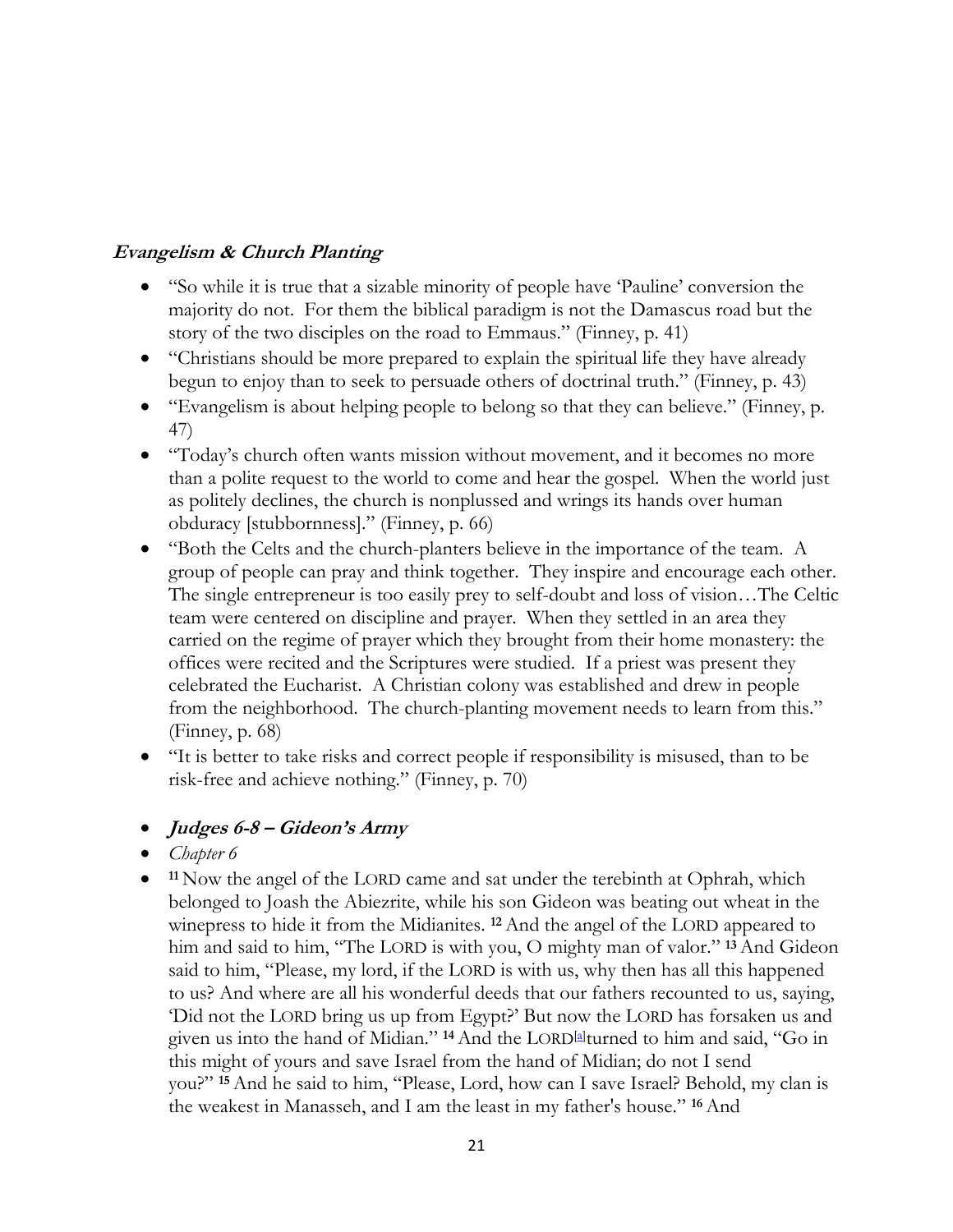## **Evangelism & Church Planting**

- "So while it is true that a sizable minority of people have 'Pauline' conversion the majority do not. For them the biblical paradigm is not the Damascus road but the story of the two disciples on the road to Emmaus." (Finney, p. 41)
- "Christians should be more prepared to explain the spiritual life they have already begun to enjoy than to seek to persuade others of doctrinal truth." (Finney, p. 43)
- "Evangelism is about helping people to belong so that they can believe." (Finney, p. 47)
- "Today's church often wants mission without movement, and it becomes no more than a polite request to the world to come and hear the gospel. When the world just as politely declines, the church is nonplussed and wrings its hands over human obduracy [stubbornness]." (Finney, p. 66)
- "Both the Celts and the church-planters believe in the importance of the team. A group of people can pray and think together. They inspire and encourage each other. The single entrepreneur is too easily prey to self-doubt and loss of vision…The Celtic team were centered on discipline and prayer. When they settled in an area they carried on the regime of prayer which they brought from their home monastery: the offices were recited and the Scriptures were studied. If a priest was present they celebrated the Eucharist. A Christian colony was established and drew in people from the neighborhood. The church-planting movement needs to learn from this." (Finney, p. 68)
- "It is better to take risks and correct people if responsibility is misused, than to be risk-free and achieve nothing." (Finney, p. 70)

## • **Judges 6-8 – Gideon's Army**

- *Chapter 6*
- <sup>11</sup> Now the angel of the LORD came and sat under the terebinth at Ophrah, which belonged to Joash the Abiezrite, while his son Gideon was beating out wheat in the winepress to hide it from the Midianites. **<sup>12</sup>**And the angel of the LORD appeared to him and said to him, "The LORD is with you, O mighty man of valor." **<sup>13</sup>**And Gideon said to him, "Please, my lord, if the LORD is with us, why then has all this happened to us? And where are all his wonderful deeds that our fathers recounted to us, saying, 'Did not the LORD bring us up from Egypt?' But now the LORD has forsaken us and given us into the hand of Midian." **<sup>14</sup>**And the LORD[a] turned to him and said, "Go in this might of yours and save Israel from the hand of Midian; do not I send you?" **<sup>15</sup>**And he said to him, "Please, Lord, how can I save Israel? Behold, my clan is the weakest in Manasseh, and I am the least in my father's house." **<sup>16</sup>**And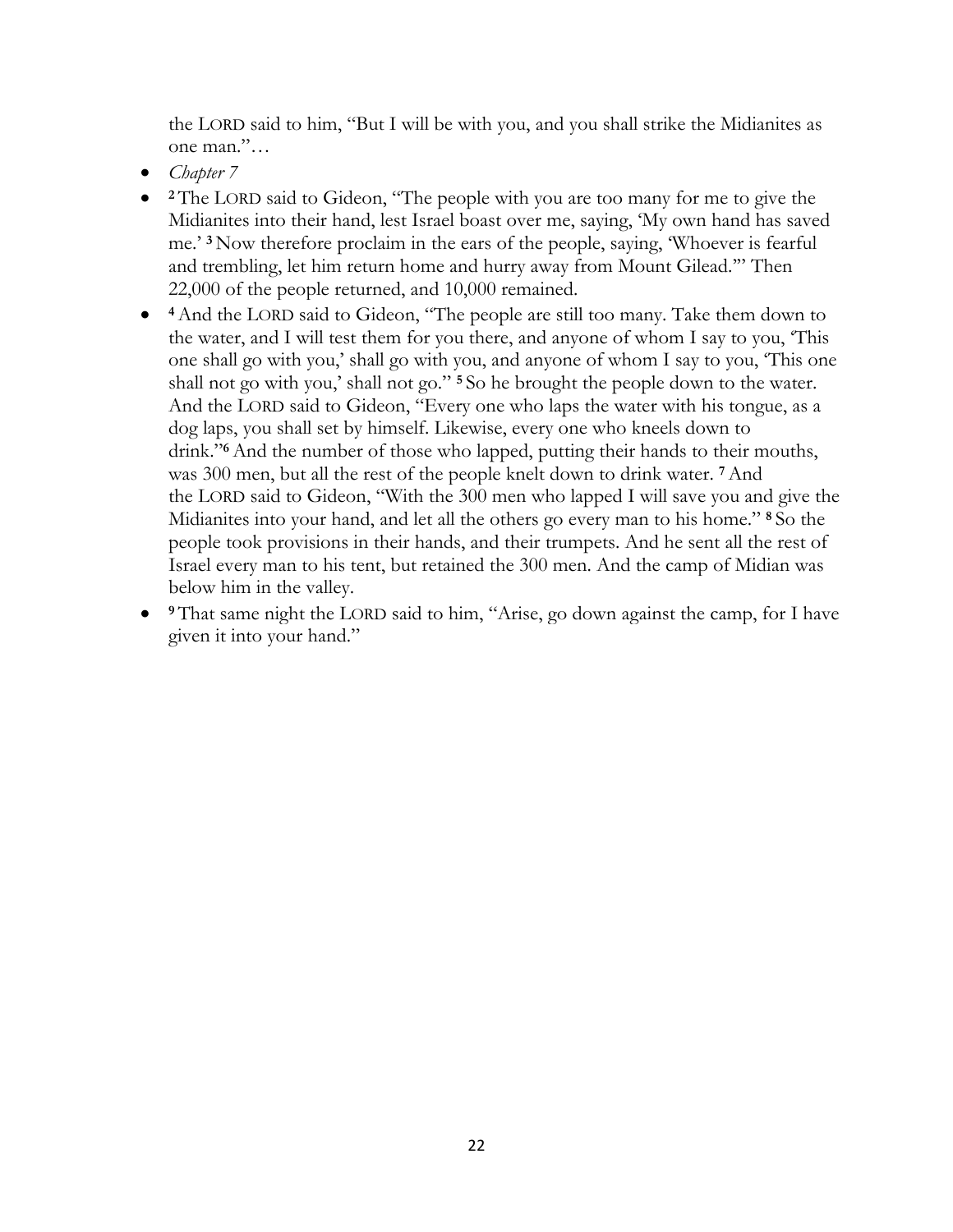the LORD said to him, "But I will be with you, and you shall strike the Midianites as one man."…

- *Chapter 7*
- **<sup>2</sup>** The LORD said to Gideon, "The people with you are too many for me to give the Midianites into their hand, lest Israel boast over me, saying, 'My own hand has saved me.' **<sup>3</sup>** Now therefore proclaim in the ears of the people, saying, 'Whoever is fearful and trembling, let him return home and hurry away from Mount Gilead.'" Then 22,000 of the people returned, and 10,000 remained.
- **<sup>4</sup>**And the LORD said to Gideon, "The people are still too many. Take them down to the water, and I will test them for you there, and anyone of whom I say to you, 'This one shall go with you,' shall go with you, and anyone of whom I say to you, 'This one shall not go with you,' shall not go." **<sup>5</sup>** So he brought the people down to the water. And the LORD said to Gideon, "Every one who laps the water with his tongue, as a dog laps, you shall set by himself. Likewise, every one who kneels down to drink."**6**And the number of those who lapped, putting their hands to their mouths, was 300 men, but all the rest of the people knelt down to drink water. **<sup>7</sup>**And the LORD said to Gideon, "With the 300 men who lapped I will save you and give the Midianites into your hand, and let all the others go every man to his home." **<sup>8</sup>** So the people took provisions in their hands, and their trumpets. And he sent all the rest of Israel every man to his tent, but retained the 300 men. And the camp of Midian was below him in the valley.
- **<sup>9</sup>** That same night the LORD said to him, "Arise, go down against the camp, for I have given it into your hand."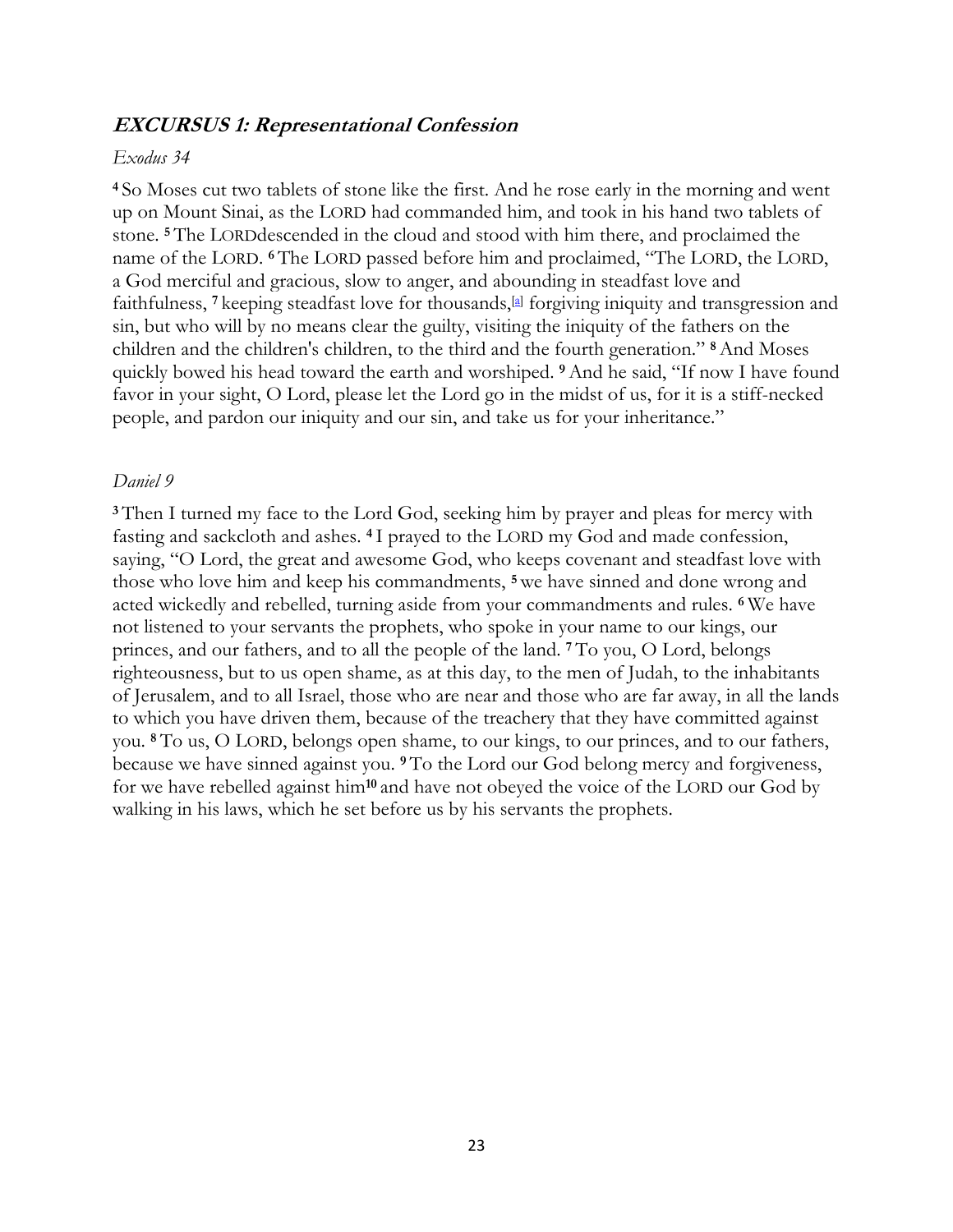#### **EXCURSUS 1: Representational Confession**

#### *Exodus 34*

**<sup>4</sup>** So Moses cut two tablets of stone like the first. And he rose early in the morning and went up on Mount Sinai, as the LORD had commanded him, and took in his hand two tablets of stone. **<sup>5</sup>** The LORDdescended in the cloud and stood with him there, and proclaimed the name of the LORD. **<sup>6</sup>** The LORD passed before him and proclaimed, "The LORD, the LORD, a God merciful and gracious, slow to anger, and abounding in steadfast love and faithfulness, <sup>7</sup> keeping steadfast love for thousands,<sup>[a]</sup> forgiving iniquity and transgression and sin, but who will by no means clear the guilty, visiting the iniquity of the fathers on the children and the children's children, to the third and the fourth generation." **<sup>8</sup>**And Moses quickly bowed his head toward the earth and worshiped. **<sup>9</sup>**And he said, "If now I have found favor in your sight, O Lord, please let the Lord go in the midst of us, for it is a stiff-necked people, and pardon our iniquity and our sin, and take us for your inheritance."

#### *Daniel 9*

**<sup>3</sup>** Then I turned my face to the Lord God, seeking him by prayer and pleas for mercy with fasting and sackcloth and ashes. **<sup>4</sup>** I prayed to the LORD my God and made confession, saying, "O Lord, the great and awesome God, who keeps covenant and steadfast love with those who love him and keep his commandments, **<sup>5</sup>** we have sinned and done wrong and acted wickedly and rebelled, turning aside from your commandments and rules. **<sup>6</sup>** We have not listened to your servants the prophets, who spoke in your name to our kings, our princes, and our fathers, and to all the people of the land. **<sup>7</sup>** To you, O Lord, belongs righteousness, but to us open shame, as at this day, to the men of Judah, to the inhabitants of Jerusalem, and to all Israel, those who are near and those who are far away, in all the lands to which you have driven them, because of the treachery that they have committed against you. **<sup>8</sup>** To us, O LORD, belongs open shame, to our kings, to our princes, and to our fathers, because we have sinned against you. **<sup>9</sup>** To the Lord our God belong mercy and forgiveness, for we have rebelled against him**<sup>10</sup>** and have not obeyed the voice of the LORD our God by walking in his laws, which he set before us by his servants the prophets.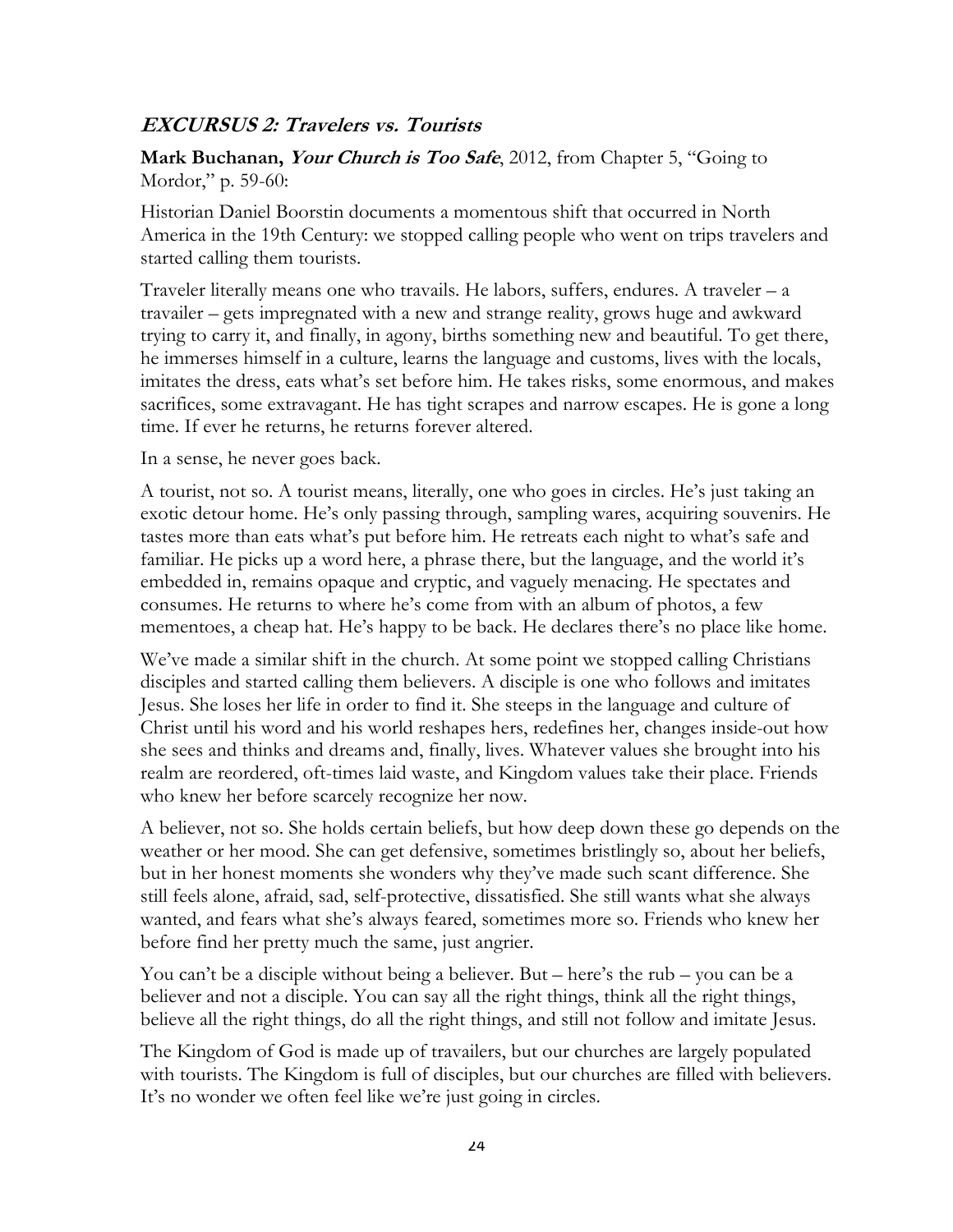# **EXCURSUS 2: Travelers vs. Tourists**

**Mark Buchanan, Your Church is Too Safe**, 2012, from Chapter 5, "Going to Mordor," p. 59-60:

Historian Daniel Boorstin documents a momentous shift that occurred in North America in the 19th Century: we stopped calling people who went on trips travelers and started calling them tourists.

Traveler literally means one who travails. He labors, suffers, endures. A traveler – a travailer – gets impregnated with a new and strange reality, grows huge and awkward trying to carry it, and finally, in agony, births something new and beautiful. To get there, he immerses himself in a culture, learns the language and customs, lives with the locals, imitates the dress, eats what's set before him. He takes risks, some enormous, and makes sacrifices, some extravagant. He has tight scrapes and narrow escapes. He is gone a long time. If ever he returns, he returns forever altered.

In a sense, he never goes back.

A tourist, not so. A tourist means, literally, one who goes in circles. He's just taking an exotic detour home. He's only passing through, sampling wares, acquiring souvenirs. He tastes more than eats what's put before him. He retreats each night to what's safe and familiar. He picks up a word here, a phrase there, but the language, and the world it's embedded in, remains opaque and cryptic, and vaguely menacing. He spectates and consumes. He returns to where he's come from with an album of photos, a few mementoes, a cheap hat. He's happy to be back. He declares there's no place like home.

We've made a similar shift in the church. At some point we stopped calling Christians disciples and started calling them believers. A disciple is one who follows and imitates Jesus. She loses her life in order to find it. She steeps in the language and culture of Christ until his word and his world reshapes hers, redefines her, changes inside-out how she sees and thinks and dreams and, finally, lives. Whatever values she brought into his realm are reordered, oft-times laid waste, and Kingdom values take their place. Friends who knew her before scarcely recognize her now.

A believer, not so. She holds certain beliefs, but how deep down these go depends on the weather or her mood. She can get defensive, sometimes bristlingly so, about her beliefs, but in her honest moments she wonders why they've made such scant difference. She still feels alone, afraid, sad, self-protective, dissatisfied. She still wants what she always wanted, and fears what she's always feared, sometimes more so. Friends who knew her before find her pretty much the same, just angrier.

You can't be a disciple without being a believer. But – here's the rub – you can be a believer and not a disciple. You can say all the right things, think all the right things, believe all the right things, do all the right things, and still not follow and imitate Jesus.

The Kingdom of God is made up of travailers, but our churches are largely populated with tourists. The Kingdom is full of disciples, but our churches are filled with believers. It's no wonder we often feel like we're just going in circles.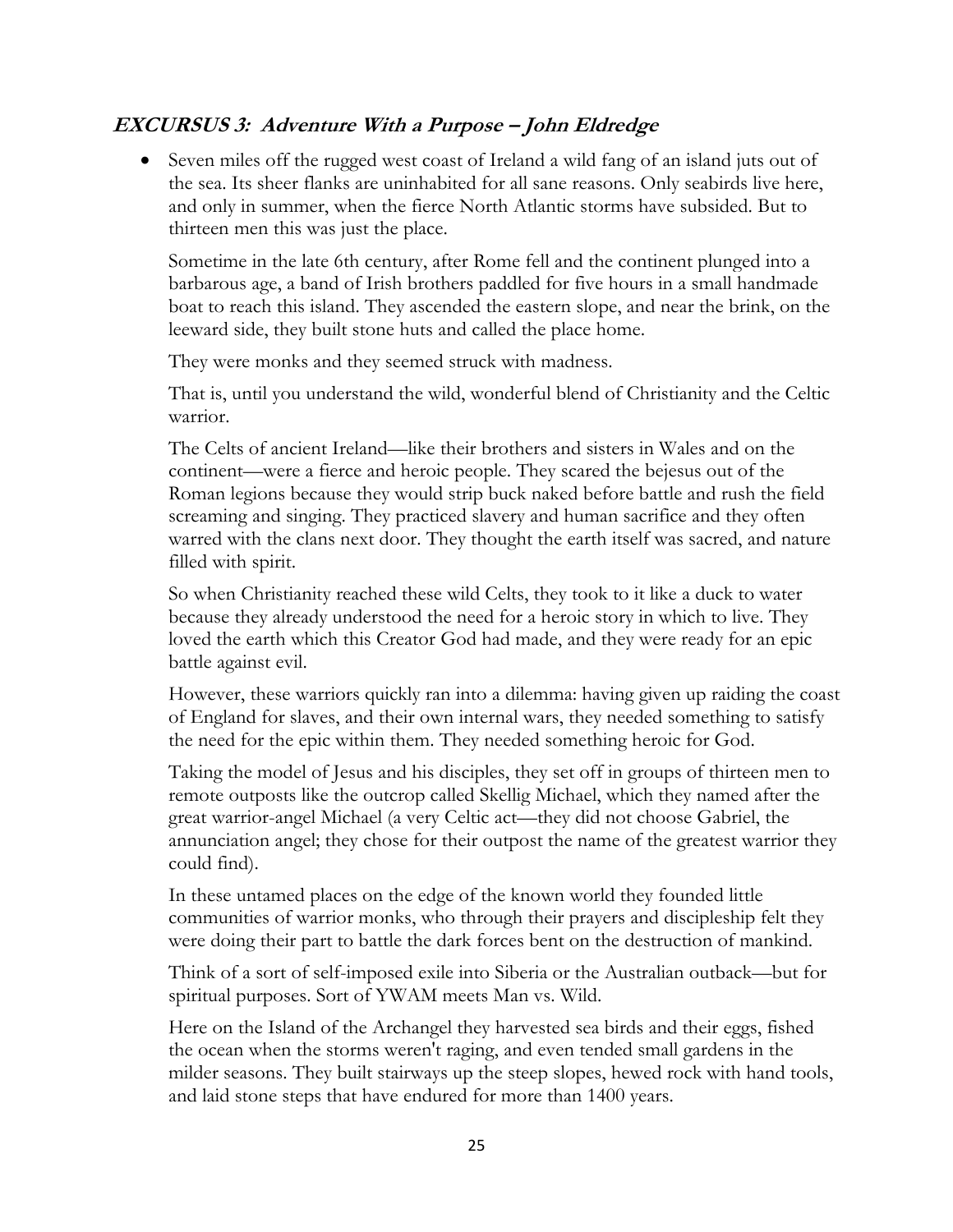# **EXCURSUS 3: Adventure With a Purpose – John Eldredge**

• Seven miles off the rugged west coast of Ireland a wild fang of an island juts out of the sea. Its sheer flanks are uninhabited for all sane reasons. Only seabirds live here, and only in summer, when the fierce North Atlantic storms have subsided. But to thirteen men this was just the place.

Sometime in the late 6th century, after Rome fell and the continent plunged into a barbarous age, a band of Irish brothers paddled for five hours in a small handmade boat to reach this island. They ascended the eastern slope, and near the brink, on the leeward side, they built stone huts and called the place home.

They were monks and they seemed struck with madness.

That is, until you understand the wild, wonderful blend of Christianity and the Celtic warrior.

The Celts of ancient Ireland—like their brothers and sisters in Wales and on the continent—were a fierce and heroic people. They scared the bejesus out of the Roman legions because they would strip buck naked before battle and rush the field screaming and singing. They practiced slavery and human sacrifice and they often warred with the clans next door. They thought the earth itself was sacred, and nature filled with spirit.

So when Christianity reached these wild Celts, they took to it like a duck to water because they already understood the need for a heroic story in which to live. They loved the earth which this Creator God had made, and they were ready for an epic battle against evil.

However, these warriors quickly ran into a dilemma: having given up raiding the coast of England for slaves, and their own internal wars, they needed something to satisfy the need for the epic within them. They needed something heroic for God.

Taking the model of Jesus and his disciples, they set off in groups of thirteen men to remote outposts like the outcrop called Skellig Michael, which they named after the great warrior-angel Michael (a very Celtic act—they did not choose Gabriel, the annunciation angel; they chose for their outpost the name of the greatest warrior they could find).

In these untamed places on the edge of the known world they founded little communities of warrior monks, who through their prayers and discipleship felt they were doing their part to battle the dark forces bent on the destruction of mankind.

Think of a sort of self-imposed exile into Siberia or the Australian outback—but for spiritual purposes. Sort of YWAM meets Man vs. Wild.

Here on the Island of the Archangel they harvested sea birds and their eggs, fished the ocean when the storms weren't raging, and even tended small gardens in the milder seasons. They built stairways up the steep slopes, hewed rock with hand tools, and laid stone steps that have endured for more than 1400 years.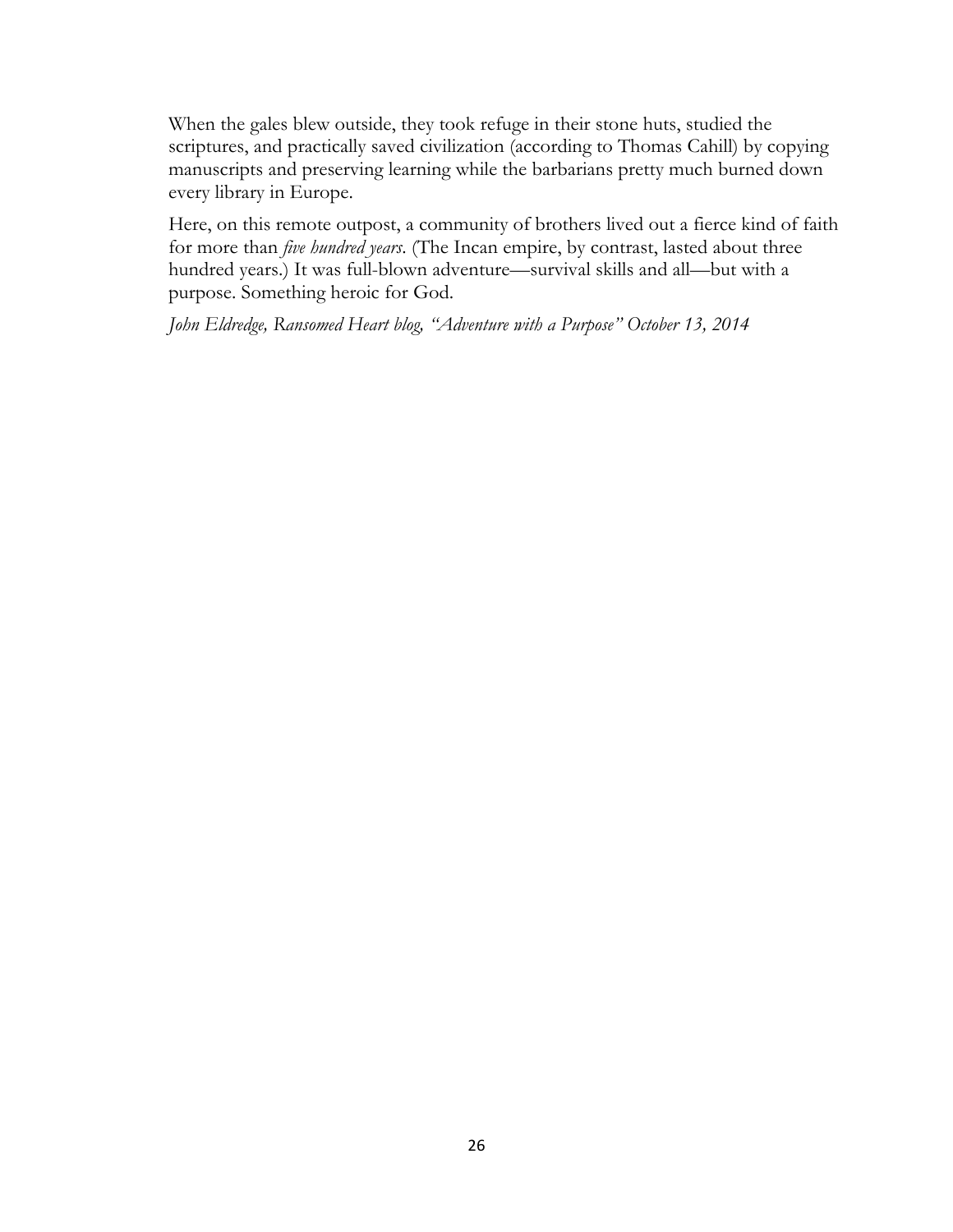When the gales blew outside, they took refuge in their stone huts, studied the scriptures, and practically saved civilization (according to Thomas Cahill) by copying manuscripts and preserving learning while the barbarians pretty much burned down every library in Europe.

Here, on this remote outpost, a community of brothers lived out a fierce kind of faith for more than *five hundred years*. (The Incan empire, by contrast, lasted about three hundred years.) It was full-blown adventure—survival skills and all—but with a purpose. Something heroic for God.

*John Eldredge, Ransomed Heart blog, "Adventure with a Purpose" October 13, 2014*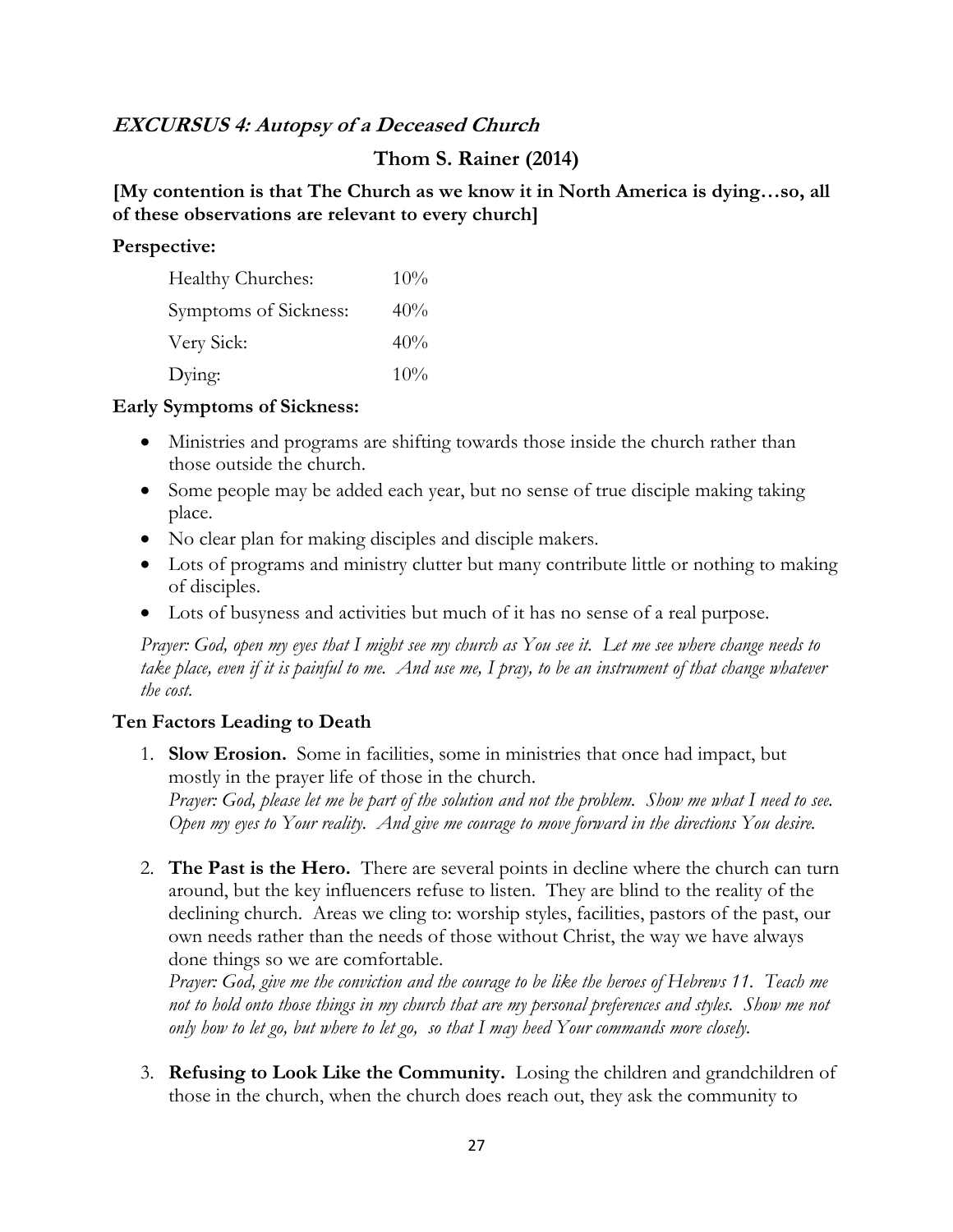# **EXCURSUS 4: Autopsy of a Deceased Church**

# **Thom S. Rainer (2014)**

#### **[My contention is that The Church as we know it in North America is dying…so, all of these observations are relevant to every church]**

#### **Perspective:**

| Healthy Churches:     | $10\%$ |
|-----------------------|--------|
| Symptoms of Sickness: | 40%    |
| Very Sick:            | 40%    |
| Dying:                | 10%    |

#### **Early Symptoms of Sickness:**

- Ministries and programs are shifting towards those inside the church rather than those outside the church.
- Some people may be added each year, but no sense of true disciple making taking place.
- No clear plan for making disciples and disciple makers.
- Lots of programs and ministry clutter but many contribute little or nothing to making of disciples.
- Lots of busyness and activities but much of it has no sense of a real purpose.

*Prayer: God, open my eyes that I might see my church as You see it. Let me see where change needs to take place, even if it is painful to me. And use me, I pray, to be an instrument of that change whatever the cost.*

#### **Ten Factors Leading to Death**

1. **Slow Erosion.** Some in facilities, some in ministries that once had impact, but mostly in the prayer life of those in the church.

*Prayer: God, please let me be part of the solution and not the problem. Show me what I need to see. Open my eyes to Your reality. And give me courage to move forward in the directions You desire.*

2. **The Past is the Hero.** There are several points in decline where the church can turn around, but the key influencers refuse to listen. They are blind to the reality of the declining church. Areas we cling to: worship styles, facilities, pastors of the past, our own needs rather than the needs of those without Christ, the way we have always done things so we are comfortable.

*Prayer: God, give me the conviction and the courage to be like the heroes of Hebrews 11. Teach me not to hold onto those things in my church that are my personal preferences and styles. Show me not only how to let go, but where to let go, so that I may heed Your commands more closely.*

3. **Refusing to Look Like the Community.** Losing the children and grandchildren of those in the church, when the church does reach out, they ask the community to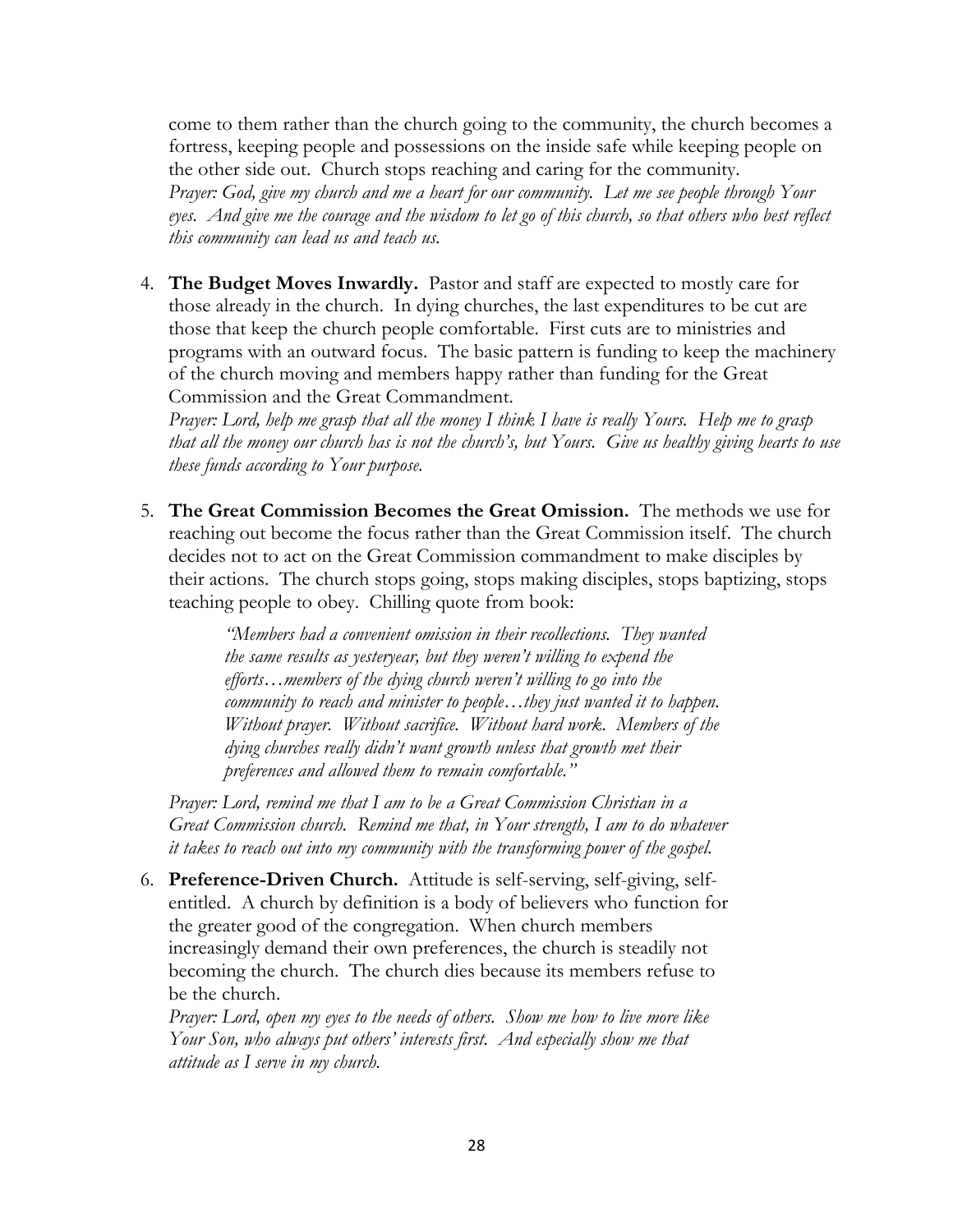come to them rather than the church going to the community, the church becomes a fortress, keeping people and possessions on the inside safe while keeping people on the other side out. Church stops reaching and caring for the community.

*Prayer: God, give my church and me a heart for our community. Let me see people through Your eyes. And give me the courage and the wisdom to let go of this church, so that others who best reflect this community can lead us and teach us.*

4. **The Budget Moves Inwardly.** Pastor and staff are expected to mostly care for those already in the church. In dying churches, the last expenditures to be cut are those that keep the church people comfortable. First cuts are to ministries and programs with an outward focus. The basic pattern is funding to keep the machinery of the church moving and members happy rather than funding for the Great Commission and the Great Commandment.

*Prayer: Lord, help me grasp that all the money I think I have is really Yours. Help me to grasp that all the money our church has is not the church's, but Yours. Give us healthy giving hearts to use these funds according to Your purpose.*

5. **The Great Commission Becomes the Great Omission.** The methods we use for reaching out become the focus rather than the Great Commission itself. The church decides not to act on the Great Commission commandment to make disciples by their actions. The church stops going, stops making disciples, stops baptizing, stops teaching people to obey. Chilling quote from book:

> *"Members had a convenient omission in their recollections. They wanted the same results as yesteryear, but they weren't willing to expend the efforts…members of the dying church weren't willing to go into the community to reach and minister to people…they just wanted it to happen. Without prayer. Without sacrifice. Without hard work. Members of the dying churches really didn't want growth unless that growth met their preferences and allowed them to remain comfortable."*

*Prayer: Lord, remind me that I am to be a Great Commission Christian in a Great Commission church. Remind me that, in Your strength, I am to do whatever it takes to reach out into my community with the transforming power of the gospel.*

6. **Preference-Driven Church.** Attitude is self-serving, self-giving, selfentitled. A church by definition is a body of believers who function for the greater good of the congregation. When church members increasingly demand their own preferences, the church is steadily not becoming the church. The church dies because its members refuse to be the church.

*Prayer: Lord, open my eyes to the needs of others. Show me how to live more like Your Son, who always put others' interests first. And especially show me that attitude as I serve in my church.*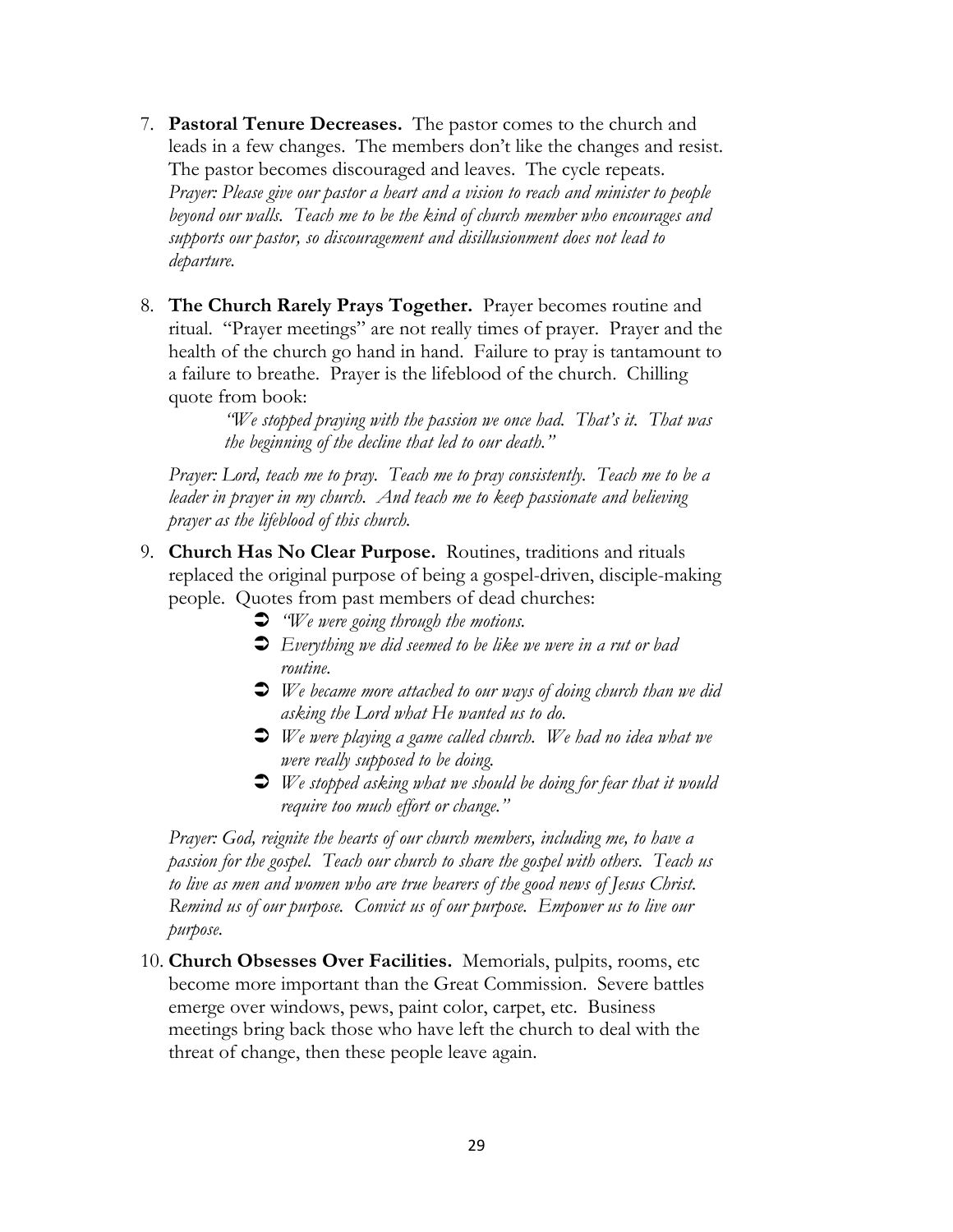- 7. **Pastoral Tenure Decreases.** The pastor comes to the church and leads in a few changes. The members don't like the changes and resist. The pastor becomes discouraged and leaves. The cycle repeats. *Prayer: Please give our pastor a heart and a vision to reach and minister to people beyond our walls. Teach me to be the kind of church member who encourages and supports our pastor, so discouragement and disillusionment does not lead to departure.*
- 8. **The Church Rarely Prays Together.** Prayer becomes routine and ritual. "Prayer meetings" are not really times of prayer. Prayer and the health of the church go hand in hand. Failure to pray is tantamount to a failure to breathe. Prayer is the lifeblood of the church. Chilling quote from book:

*"We stopped praying with the passion we once had. That's it. That was the beginning of the decline that led to our death."*

*Prayer: Lord, teach me to pray. Teach me to pray consistently. Teach me to be a leader in prayer in my church. And teach me to keep passionate and believing prayer as the lifeblood of this church.*

- 9. **Church Has No Clear Purpose.** Routines, traditions and rituals replaced the original purpose of being a gospel-driven, disciple-making people. Quotes from past members of dead churches:
	- Ü *"We were going through the motions.*
	- Ü *Everything we did seemed to be like we were in a rut or bad routine.*
	- Ü *We became more attached to our ways of doing church than we did asking the Lord what He wanted us to do.*
	- Ü *We were playing a game called church. We had no idea what we were really supposed to be doing.*
	- Ü *We stopped asking what we should be doing for fear that it would require too much effort or change."*

*Prayer: God, reignite the hearts of our church members, including me, to have a passion for the gospel. Teach our church to share the gospel with others. Teach us to live as men and women who are true bearers of the good news of Jesus Christ. Remind us of our purpose. Convict us of our purpose. Empower us to live our purpose.*

10. **Church Obsesses Over Facilities.** Memorials, pulpits, rooms, etc become more important than the Great Commission. Severe battles emerge over windows, pews, paint color, carpet, etc. Business meetings bring back those who have left the church to deal with the threat of change, then these people leave again.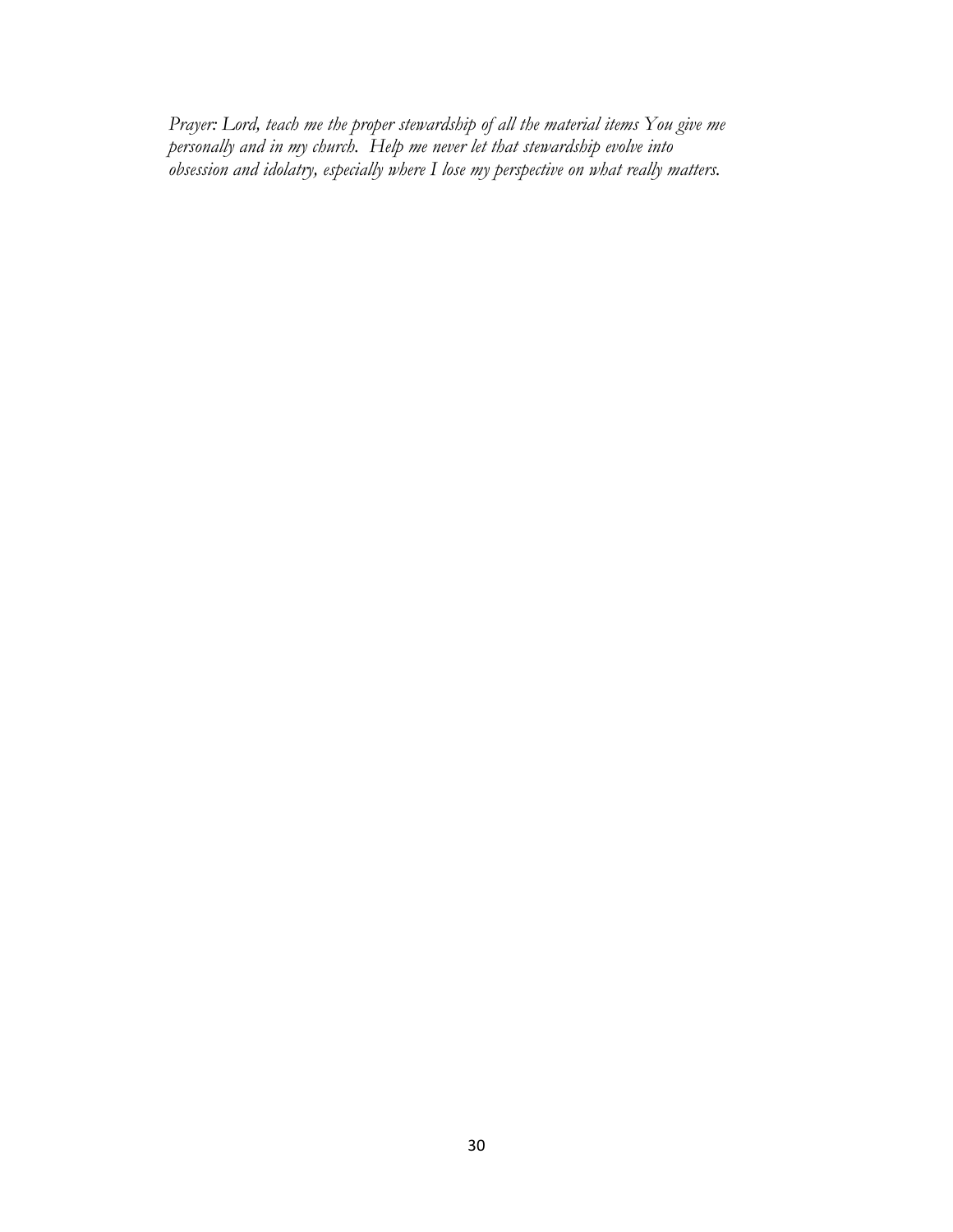*Prayer: Lord, teach me the proper stewardship of all the material items You give me personally and in my church. Help me never let that stewardship evolve into obsession and idolatry, especially where I lose my perspective on what really matters.*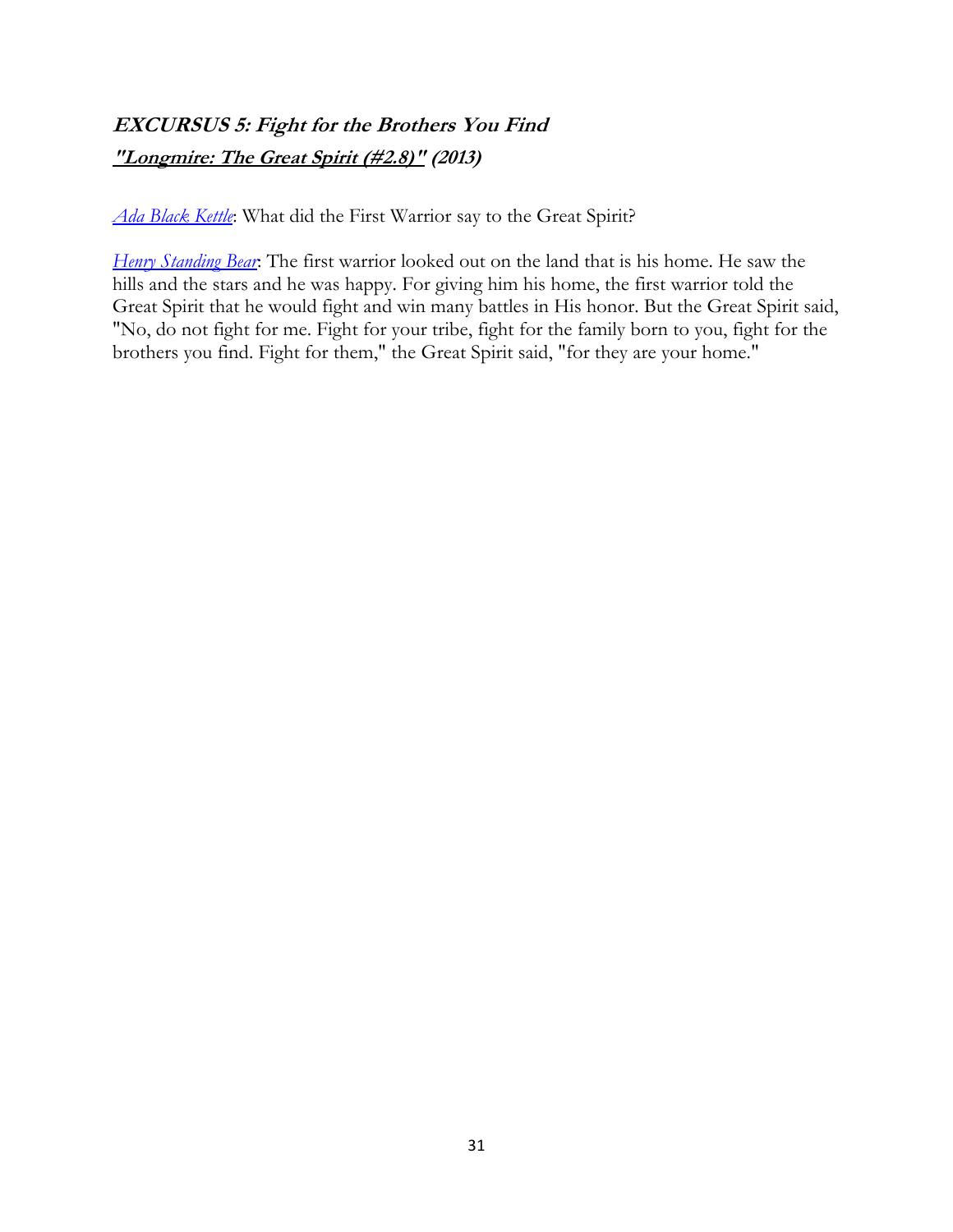# **EXCURSUS 5: Fight for the Brothers You Find "Longmire: The Great Spirit (#2.8)" (2013)**

*Ada Black Kettle*: What did the First Warrior say to the Great Spirit?

*Henry Standing Bear*: The first warrior looked out on the land that is his home. He saw the hills and the stars and he was happy. For giving him his home, the first warrior told the Great Spirit that he would fight and win many battles in His honor. But the Great Spirit said, "No, do not fight for me. Fight for your tribe, fight for the family born to you, fight for the brothers you find. Fight for them," the Great Spirit said, "for they are your home."